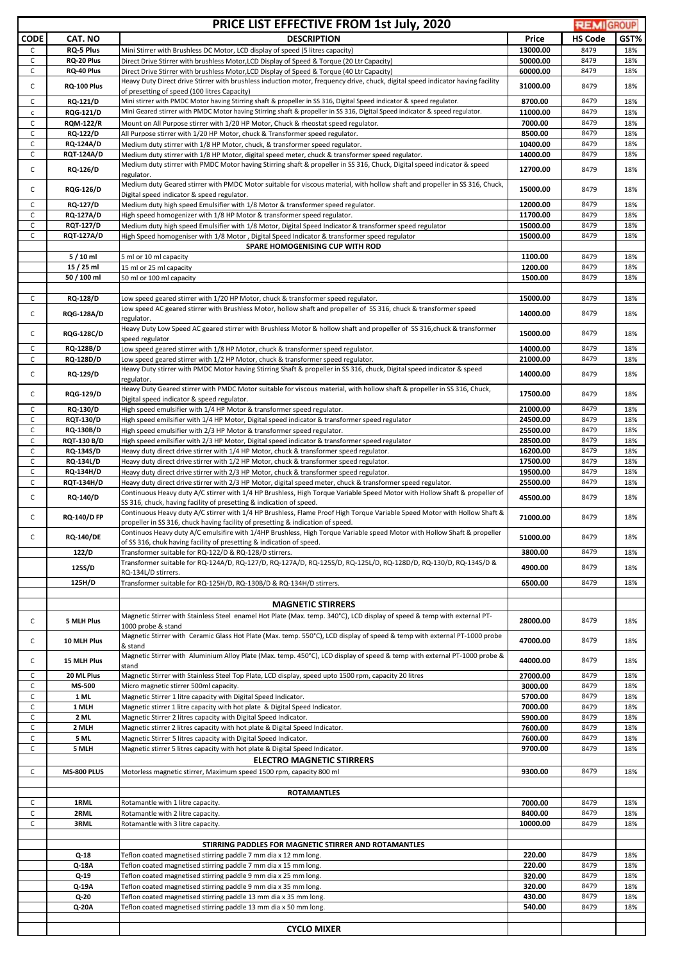| <b>PRICE LIST EFFECTIVE FROM 1st July, 2020</b> |                                       |                                                                                                                                                                                                                                                                                     |                      |                | <b>REMIGROUP</b> |
|-------------------------------------------------|---------------------------------------|-------------------------------------------------------------------------------------------------------------------------------------------------------------------------------------------------------------------------------------------------------------------------------------|----------------------|----------------|------------------|
| <b>CODE</b>                                     | CAT. NO                               | <b>DESCRIPTION</b>                                                                                                                                                                                                                                                                  | Price                | <b>HS Code</b> | GST%             |
| C                                               | <b>RQ-5 Plus</b>                      | Mini Stirrer with Brushless DC Motor, LCD display of speed (5 litres capacity)                                                                                                                                                                                                      | 13000.00             | 8479           | 18%              |
| C<br>C                                          | RQ-20 Plus<br>RQ-40 Plus              | Direct Drive Stirrer with brushless Motor, LCD Display of Speed & Torque (20 Ltr Capacity)<br>Direct Drive Stirrer with brushless Motor, LCD Display of Speed & Torque (40 Ltr Capacity)                                                                                            | 50000.00<br>60000.00 | 8479<br>8479   | 18%<br>18%       |
|                                                 |                                       | Heavy Duty Direct drive Stirrer with brushless induction motor, frequency drive, chuck, digital speed indicator having facility                                                                                                                                                     |                      |                |                  |
| $\mathsf{C}$                                    | RQ-100 Plus                           | of presetting of speed (100 litres Capacity)                                                                                                                                                                                                                                        | 31000.00             | 8479           | 18%              |
| $\mathsf{C}$                                    | <b>RQ-121/D</b>                       | Mini stirrer with PMDC Motor having Stirring shaft & propeller in SS 316, Digital Speed indicator & speed regulator.                                                                                                                                                                | 8700.00              | 8479           | 18%              |
| $\mathsf{C}$<br>C                               | <b>RQG-121/D</b><br><b>RQM-122/R</b>  | Mini Geared stirrer with PMDC Motor having Stirring shaft & propeller in SS 316, Digital Speed indicator & speed regulator.<br>Mount on All Purpose stirrer with 1/20 HP Motor, Chuck & rheostat speed regulator.                                                                   | 11000.00<br>7000.00  | 8479<br>8479   | 18%<br>18%       |
| C                                               | <b>RQ-122/D</b>                       | All Purpose stirrer with 1/20 HP Motor, chuck & Transformer speed regulator.                                                                                                                                                                                                        | 8500.00              | 8479           | 18%              |
| C                                               | <b>RQ-124A/D</b>                      | Medium duty stirrer with 1/8 HP Motor, chuck, & transformer speed regulator.                                                                                                                                                                                                        | 10400.00             | 8479           | 18%              |
| $\mathsf C$                                     | <b>RQT-124A/D</b>                     | Medium duty stirrer with 1/8 HP Motor, digital speed meter, chuck & transformer speed regulator.                                                                                                                                                                                    | 14000.00             | 8479           | 18%              |
| C                                               | <b>RQ-126/D</b>                       | Medium duty stirrer with PMDC Motor having Stirring shaft & propeller in SS 316, Chuck, Digital speed indicator & speed<br>regulator.                                                                                                                                               | 12700.00             | 8479           | 18%              |
| C                                               | <b>RQG-126/D</b>                      | Medium duty Geared stirrer with PMDC Motor suitable for viscous material, with hollow shaft and propeller in SS 316, Chuck,<br>Digital speed indicator & speed regulator.                                                                                                           | 15000.00             | 8479           | 18%              |
| C                                               | <b>RQ-127/D</b>                       | Medium duty high speed Emulsifier with 1/8 Motor & transformer speed regulator.                                                                                                                                                                                                     | 12000.00             | 8479           | 18%              |
| C<br>C                                          | <b>RQ-127A/D</b><br><b>RQT-127/D</b>  | High speed homogenizer with 1/8 HP Motor & transformer speed regulator.<br>Medium duty high speed Emulsifier with 1/8 Motor, Digital Speed Indicator & transformer speed regulator                                                                                                  | 11700.00<br>15000.00 | 8479<br>8479   | 18%<br>18%       |
| $\mathsf C$                                     | <b>RQT-127A/D</b>                     | High Speed homogeniser with 1/8 Motor, Digital Speed Indicator & transformer speed regulator                                                                                                                                                                                        | 15000.00             | 8479           | 18%              |
|                                                 |                                       | <b>SPARE HOMOGENISING CUP WITH ROD</b>                                                                                                                                                                                                                                              |                      |                |                  |
|                                                 | $5/10$ ml                             | 5 ml or 10 ml capacity                                                                                                                                                                                                                                                              | 1100.00<br>1200.00   | 8479           | 18%              |
|                                                 | 15 / 25 ml<br>50 / 100 ml             | 15 ml or 25 ml capacity<br>50 ml or 100 ml capacity                                                                                                                                                                                                                                 | 1500.00              | 8479<br>8479   | 18%<br>18%       |
|                                                 |                                       |                                                                                                                                                                                                                                                                                     |                      |                |                  |
| C                                               | <b>RQ-128/D</b>                       | Low speed geared stirrer with 1/20 HP Motor, chuck & transformer speed regulator.                                                                                                                                                                                                   | 15000.00             | 8479           | 18%              |
| C                                               | <b>RQG-128A/D</b>                     | Low speed AC geared stirrer with Brushless Motor, hollow shaft and propeller of SS 316, chuck & transformer speed<br>regulator.                                                                                                                                                     | 14000.00             | 8479           | 18%              |
| C                                               | <b>RQG-128C/D</b>                     | Heavy Duty Low Speed AC geared stirrer with Brushless Motor & hollow shaft and propeller of SS 316, chuck & transformer                                                                                                                                                             | 15000.00             | 8479           | 18%              |
| C                                               | <b>RQ-128B/D</b>                      | speed regulator<br>Low speed geared stirrer with 1/8 HP Motor, chuck & transformer speed regulator.                                                                                                                                                                                 | 14000.00             | 8479           | 18%              |
| C                                               | <b>RQ-128D/D</b>                      | Low speed geared stirrer with 1/2 HP Motor, chuck & transformer speed regulator.                                                                                                                                                                                                    | 21000.00             | 8479           | 18%              |
| C                                               | <b>RQ-129/D</b>                       | Heavy Duty stirrer with PMDC Motor having Stirring Shaft & propeller in SS 316, chuck, Digital speed indicator & speed<br>regulator.                                                                                                                                                | 14000.00             | 8479           | 18%              |
| C                                               | <b>RQG-129/D</b>                      | Heavy Duty Geared stirrer with PMDC Motor suitable for viscous material, with hollow shaft & propeller in SS 316, Chuck,<br>Digital speed indicator & speed regulator.                                                                                                              | 17500.00             | 8479           | 18%              |
| C                                               | RQ-130/D                              | High speed emulsifier with 1/4 HP Motor & transformer speed regulator.                                                                                                                                                                                                              | 21000.00<br>24500.00 | 8479<br>8479   | 18%              |
| C<br>C                                          | <b>RQT-130/D</b><br><b>RQ-130B/D</b>  | High speed emilsifier with 1/4 HP Motor, Digital speed indicator & transformer speed regulator<br>High speed emulsifier with 2/3 HP Motor & transformer speed regulator.                                                                                                            | 25500.00             | 8479           | 18%<br>18%       |
| $\mathsf{C}$                                    | <b>RQT-130 B/D</b>                    | High speed emilsifier with 2/3 HP Motor, Digital speed indicator & transformer speed regulator                                                                                                                                                                                      | 28500.00             | 8479           | 18%              |
| $\mathsf{C}$                                    | RQ-134S/D                             | Heavy duty direct drive stirrer with 1/4 HP Motor, chuck & transformer speed regulator.                                                                                                                                                                                             | 16200.00             | 8479           | 18%              |
| C                                               | <b>RQ-134L/D</b>                      | Heavy duty direct drive stirrer with 1/2 HP Motor, chuck & transformer speed regulator.                                                                                                                                                                                             | 17500.00             | 8479           | 18%              |
| $\mathsf{C}$<br>C                               | <b>RQ-134H/D</b><br><b>RQT-134H/D</b> | Heavy duty direct drive stirrer with 2/3 HP Motor, chuck & transformer speed regulator.<br>Heavy duty direct drive stirrer with 2/3 HP Motor, digital speed meter, chuck & transformer speed regulator.                                                                             | 19500.00<br>25500.00 | 8479<br>8479   | 18%<br>18%       |
| $\mathsf{C}$                                    | RQ-140/D                              | Continuous Heavy duty A/C stirrer with 1/4 HP Brushless, High Torque Variable Speed Motor with Hollow Shaft & propeller of                                                                                                                                                          | 45500.00             | 8479           | 18%              |
| C                                               | <b>RQ-140/D FP</b>                    | SS 316, chuck, having facility of presetting & indication of speed.<br>Continuous Heavy duty A/C stirrer with 1/4 HP Brushless, Flame Proof High Torque Variable Speed Motor with Hollow Shaft &<br>propeller in SS 316, chuck having facility of presetting & indication of speed. | 71000.00             | 8479           | 18%              |
| C                                               | <b>RQ-140/DE</b>                      | Continuos Heavy duty A/C emulsifire with 1/4HP Brushless, High Torque Variable speed Motor with Hollow Shaft & propeller                                                                                                                                                            | 51000.00             | 8479           | 18%              |
|                                                 | 122/D                                 | of SS 316, chuk having facility of presetting & indication of speed.<br>Transformer suitable for RQ-122/D & RQ-128/D stirrers.                                                                                                                                                      | 3800.00              | 8479           | 18%              |
|                                                 | 125S/D                                | Transformer suitable for RQ-124A/D, RQ-127/D, RQ-127A/D, RQ-125S/D, RQ-125L/D, RQ-128D/D, RQ-130/D, RQ-134S/D &<br>RQ-134L/D stirrers.                                                                                                                                              | 4900.00              | 8479           | 18%              |
|                                                 | 125H/D                                | Transformer suitable for RQ-125H/D, RQ-130B/D & RQ-134H/D stirrers.                                                                                                                                                                                                                 | 6500.00              | 8479           | 18%              |
|                                                 |                                       | <b>MAGNETIC STIRRERS</b>                                                                                                                                                                                                                                                            |                      |                |                  |
| $\mathsf{C}$                                    | 5 MLH Plus                            | Magnetic Stirrer with Stainless Steel enamel Hot Plate (Max. temp. 340°C), LCD display of speed & temp with external PT-                                                                                                                                                            | 28000.00             | 8479           | 18%              |
|                                                 |                                       | 1000 probe & stand<br>Magnetic Stirrer with Ceramic Glass Hot Plate (Max. temp. 550°C), LCD display of speed & temp with external PT-1000 probe                                                                                                                                     |                      |                |                  |
| $\mathsf{C}$                                    | 10 MLH Plus                           | & stand<br>Magnetic Stirrer with Aluminium Alloy Plate (Max. temp. 450°C), LCD display of speed & temp with external PT-1000 probe &                                                                                                                                                | 47000.00             | 8479           | 18%              |
| $\mathsf{C}$                                    | 15 MLH Plus                           | stand                                                                                                                                                                                                                                                                               | 44000.00             | 8479           | 18%              |
| С                                               | 20 ML Plus                            | Magnetic Stirrer with Stainless Steel Top Plate, LCD display, speed upto 1500 rpm, capacity 20 litres                                                                                                                                                                               | 27000.00             | 8479           | 18%              |
| C<br>C                                          | <b>MS-500</b><br>1 ML                 | Micro magnetic stirrer 500ml capacity.<br>Magnetic Stirrer 1 litre capacity with Digital Speed Indicator.                                                                                                                                                                           | 3000.00<br>5700.00   | 8479<br>8479   | 18%<br>18%       |
| C                                               | 1 MLH                                 | Magnetic stirrer 1 litre capacity with hot plate & Digital Speed Indicator.                                                                                                                                                                                                         | 7000.00              | 8479           | 18%              |
| $\mathsf C$                                     | 2 ML                                  | Magnetic Stirrer 2 litres capacity with Digital Speed Indicator.                                                                                                                                                                                                                    | 5900.00              | 8479           | 18%              |
| C                                               | 2 MLH                                 | Magnetic stirrer 2 litres capacity with hot plate & Digital Speed Indicator.                                                                                                                                                                                                        | 7600.00              | 8479           | 18%              |
| $\mathsf{C}$<br>$\mathsf{C}$                    | 5 ML<br>5 MLH                         | Magnetic Stirrer 5 litres capacity with Digital Speed Indicator.<br>Magnetic stirrer 5 litres capacity with hot plate & Digital Speed Indicator.                                                                                                                                    | 7600.00<br>9700.00   | 8479<br>8479   | 18%<br>18%       |
|                                                 |                                       | <b>ELECTRO MAGNETIC STIRRERS</b>                                                                                                                                                                                                                                                    |                      |                |                  |
| C                                               | <b>MS-800 PLUS</b>                    | Motorless magnetic stirrer, Maximum speed 1500 rpm, capacity 800 ml                                                                                                                                                                                                                 | 9300.00              | 8479           | 18%              |
|                                                 |                                       | <b>ROTAMANTLES</b>                                                                                                                                                                                                                                                                  |                      |                |                  |
| С<br>$\mathsf C$                                | 1RML<br>2RML                          | Rotamantle with 1 litre capacity.<br>Rotamantle with 2 litre capacity.                                                                                                                                                                                                              | 7000.00<br>8400.00   | 8479<br>8479   | 18%<br>18%       |
| C                                               | 3RML                                  | Rotamantle with 3 litre capacity.                                                                                                                                                                                                                                                   | 10000.00             | 8479           | 18%              |
|                                                 |                                       |                                                                                                                                                                                                                                                                                     |                      |                |                  |
|                                                 |                                       | STIRRING PADDLES FOR MAGNETIC STIRRER AND ROTAMANTLES<br>Teflon coated magnetised stirring paddle 7 mm dia x 12 mm long.                                                                                                                                                            | 220.00               |                | 18%              |
|                                                 | Q-18<br>Q-18A                         | Teflon coated magnetised stirring paddle 7 mm dia x 15 mm long.                                                                                                                                                                                                                     | 220.00               | 8479<br>8479   | 18%              |
|                                                 | Q-19                                  | Teflon coated magnetised stirring paddle 9 mm dia x 25 mm long.                                                                                                                                                                                                                     | 320.00               | 8479           | 18%              |
|                                                 | Q-19A                                 | Teflon coated magnetised stirring paddle 9 mm dia x 35 mm long.                                                                                                                                                                                                                     | 320.00               | 8479           | 18%              |
|                                                 | Q-20<br>Q-20A                         | Teflon coated magnetised stirring paddle 13 mm dia x 35 mm long.<br>Teflon coated magnetised stirring paddle 13 mm dia x 50 mm long.                                                                                                                                                | 430.00<br>540.00     | 8479<br>8479   | 18%<br>18%       |
|                                                 |                                       |                                                                                                                                                                                                                                                                                     |                      |                |                  |
|                                                 |                                       | <b>CYCLO MIXER</b>                                                                                                                                                                                                                                                                  |                      |                |                  |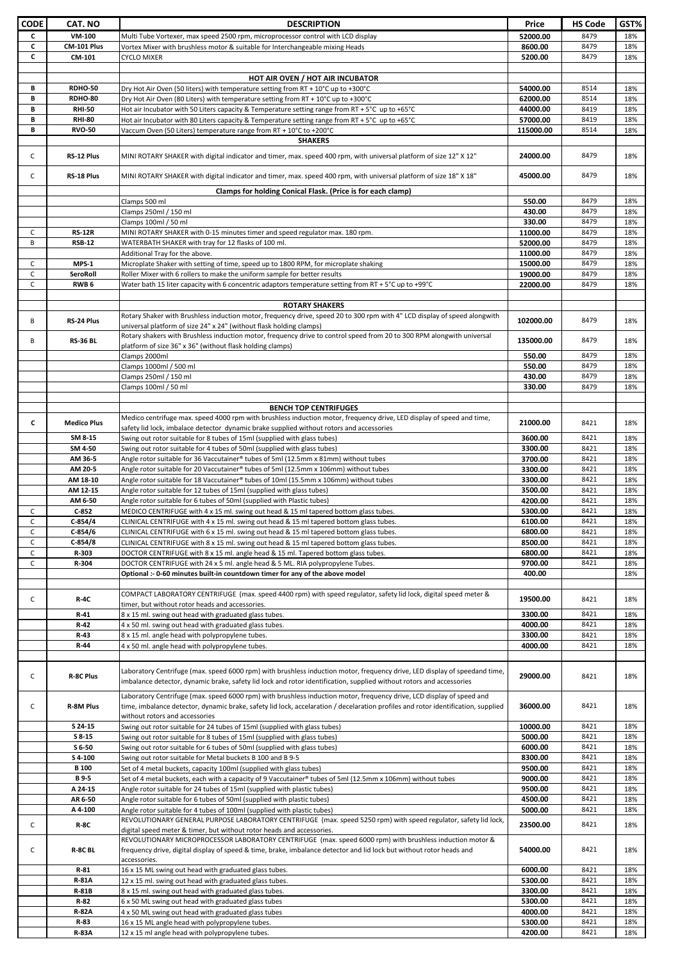| <b>CODE</b> | CAT. NO              | <b>DESCRIPTION</b>                                                                                                                                                                                                                                 | Price              | <b>HS Code</b> | GST%       |
|-------------|----------------------|----------------------------------------------------------------------------------------------------------------------------------------------------------------------------------------------------------------------------------------------------|--------------------|----------------|------------|
| C           | <b>VM-100</b>        | Multi Tube Vortexer, max speed 2500 rpm, microprocessor control with LCD display                                                                                                                                                                   | 52000.00           | 8479           | 18%        |
| C           | CM-101 Plus          | Vortex Mixer with brushless motor & suitable for Interchangeable mixing Heads                                                                                                                                                                      | 8600.00            | 8479           | 18%        |
| C           | CM-101               | <b>CYCLO MIXER</b>                                                                                                                                                                                                                                 | 5200.00            | 8479           | 18%        |
|             |                      |                                                                                                                                                                                                                                                    |                    |                |            |
|             |                      | HOT AIR OVEN / HOT AIR INCUBATOR                                                                                                                                                                                                                   |                    |                |            |
| В           | <b>RDHO-50</b>       | Dry Hot Air Oven (50 liters) with temperature setting from RT + 10°C up to +300°C                                                                                                                                                                  | 54000.00           | 8514           | 18%        |
| В           | <b>RDHO-80</b>       | Dry Hot Air Oven (80 Liters) with temperature setting from RT + 10°C up to +300°C                                                                                                                                                                  | 62000.00           | 8514           | 18%        |
| B           | <b>RHI-50</b>        | Hot air Incubator with 50 Liters capacity & Temperature setting range from RT + 5°C up to +65°C                                                                                                                                                    | 44000.00           | 8419           | 18%        |
| B           | <b>RHI-80</b>        | Hot air Incubator with 80 Liters capacity & Temperature setting range from RT + 5°C up to +65°C                                                                                                                                                    | 57000.00           | 8419           | 18%        |
| В           | <b>RVO-50</b>        | Vaccum Oven (50 Liters) temperature range from RT + 10°C to +200°C                                                                                                                                                                                 | 115000.00          | 8514           | 18%        |
|             |                      | <b>SHAKERS</b>                                                                                                                                                                                                                                     |                    |                |            |
| C           | RS-12 Plus           | MINI ROTARY SHAKER with digital indicator and timer, max. speed 400 rpm, with universal platform of size 12" X 12"                                                                                                                                 | 24000.00           | 8479           | 18%        |
|             |                      |                                                                                                                                                                                                                                                    |                    |                |            |
| С           | RS-18 Plus           | MINI ROTARY SHAKER with digital indicator and timer, max. speed 400 rpm, with universal platform of size 18" X 18"                                                                                                                                 | 45000.00           | 8479           | 18%        |
|             |                      | Clamps for holding Conical Flask. (Price is for each clamp)                                                                                                                                                                                        |                    |                |            |
|             |                      | Clamps 500 ml                                                                                                                                                                                                                                      | 550.00             | 8479           | 18%        |
|             |                      | Clamps 250ml / 150 ml                                                                                                                                                                                                                              | 430.00             | 8479           | 18%        |
|             |                      | Clamps 100ml / 50 ml                                                                                                                                                                                                                               | 330.00             | 8479           | 18%        |
| с           | <b>RS-12R</b>        | MINI ROTARY SHAKER with 0-15 minutes timer and speed regulator max. 180 rpm.                                                                                                                                                                       | 11000.00           | 8479           | 18%        |
| B           | <b>RSB-12</b>        | WATERBATH SHAKER with tray for 12 flasks of 100 ml.                                                                                                                                                                                                | 52000.00           | 8479           | 18%        |
|             |                      | Additional Tray for the above.                                                                                                                                                                                                                     | 11000.00           | 8479           | 18%        |
| C           | MPS-1                | Microplate Shaker with setting of time, speed up to 1800 RPM, for microplate shaking                                                                                                                                                               | 15000.00           | 8479           | 18%        |
| С           | SeroRoll             | Roller Mixer with 6 rollers to make the uniform sample for better results                                                                                                                                                                          | 19000.00           | 8479           | 18%        |
| C           | RWB <sub>6</sub>     | Water bath 15 liter capacity with 6 concentric adaptors temperature setting from RT + 5°C up to +99°C                                                                                                                                              | 22000.00           | 8479           | 18%        |
|             |                      | <b>ROTARY SHAKERS</b>                                                                                                                                                                                                                              |                    |                |            |
|             |                      | Rotary Shaker with Brushless induction motor, frequency drive, speed 20 to 300 rpm with 4" LCD display of speed alongwith                                                                                                                          |                    |                |            |
| В           | RS-24 Plus           | universal platform of size 24" x 24" (without flask holding clamps)                                                                                                                                                                                | 102000.00          | 8479           | 18%        |
|             |                      | Rotary shakers with Brushless induction motor, frequency drive to control speed from 20 to 300 RPM alongwith universal                                                                                                                             |                    |                |            |
| В           | <b>RS-36 BL</b>      | platform of size 36" x 36" (without flask holding clamps)                                                                                                                                                                                          | 135000.00          | 8479           | 18%        |
|             |                      | Clamps 2000ml                                                                                                                                                                                                                                      | 550.00             | 8479           | 18%        |
|             |                      | Clamps 1000ml / 500 ml                                                                                                                                                                                                                             | 550.00             | 8479           | 18%        |
|             |                      | Clamps 250ml / 150 ml                                                                                                                                                                                                                              | 430.00             | 8479           | 18%        |
|             |                      | Clamps 100ml / 50 ml                                                                                                                                                                                                                               | 330.00             | 8479           | 18%        |
|             |                      |                                                                                                                                                                                                                                                    |                    |                |            |
|             |                      | <b>BENCH TOP CENTRIFUGES</b>                                                                                                                                                                                                                       |                    |                |            |
| c           | <b>Medico Plus</b>   | Medico centrifuge max. speed 4000 rpm with brushless induction motor, frequency drive, LED display of speed and time,                                                                                                                              | 21000.00           | 8421           | 18%        |
|             | SM 8-15              | safety lid lock, imbalace detector dynamic brake supplied without rotors and accessories                                                                                                                                                           |                    | 8421           |            |
|             | SM 4-50              | Swing out rotor suitable for 8 tubes of 15ml (supplied with glass tubes)                                                                                                                                                                           | 3600.00<br>3300.00 | 8421           | 18%<br>18% |
|             | AM 36-5              | Swing out rotor suitable for 4 tubes of 50ml (supplied with glass tubes)<br>Angle rotor suitable for 36 Vaccutainer® tubes of 5ml (12.5mm x 81mm) without tubes                                                                                    | 3700.00            | 8421           | 18%        |
|             | AM 20-5              | Angle rotor suitable for 20 Vaccutainer® tubes of 5ml (12.5mm x 106mm) without tubes                                                                                                                                                               | 3300.00            | 8421           | 18%        |
|             | AM 18-10             | Angle rotor suitable for 18 Vaccutainer® tubes of 10ml (15.5mm x 106mm) without tubes                                                                                                                                                              | 3300.00            | 8421           | 18%        |
|             | AM 12-15             | Angle rotor suitable for 12 tubes of 15ml (supplied with glass tubes)                                                                                                                                                                              | 3500.00            | 8421           | 18%        |
|             | AM 6-50              | Angle rotor suitable for 6 tubes of 50ml (supplied with Plastic tubes)                                                                                                                                                                             | 4200.00            | 8421           | 18%        |
| С           | $C-852$              | MEDICO CENTRIFUGE with 4 x 15 ml. swing out head & 15 ml tapered bottom glass tubes.                                                                                                                                                               | 5300.00            | 8421           | 18%        |
| C           | $C-854/4$            | CLINICAL CENTRIFUGE with 4 x 15 ml. swing out head & 15 ml tapered bottom glass tubes.                                                                                                                                                             | 6100.00            | 8421           | 18%        |
| C           | $C-854/6$            | CLINICAL CENTRIFUGE with 6 x 15 ml. swing out head & 15 ml tapered bottom glass tubes.                                                                                                                                                             | 6800.00            | 8421           | 18%        |
| C           | $C-854/8$            | CLINICAL CENTRIFUGE with 8 x 15 ml. swing out head & 15 ml tapered bottom glass tubes.                                                                                                                                                             | 8500.00            | 8421           | 18%        |
| C           | R-303                | DOCTOR CENTRIFUGE with 8 x 15 ml. angle head & 15 ml. Tapered bottom glass tubes.                                                                                                                                                                  | 6800.00            | 8421           | 18%        |
| C           | R-304                | DOCTOR CENTRIFUGE with 24 x 5 ml. angle head & 5 ML. RIA polypropylene Tubes.                                                                                                                                                                      | 9700.00            | 8421           | 18%        |
|             |                      | Optional :- 0-60 minutes built-in countdown timer for any of the above model                                                                                                                                                                       | 400.00             |                | 18%        |
|             |                      |                                                                                                                                                                                                                                                    |                    |                |            |
| C           | <b>R-4C</b>          | COMPACT LABORATORY CENTRIFUGE (max. speed 4400 rpm) with speed regulator, safety lid lock, digital speed meter &                                                                                                                                   | 19500.00           | 8421           | 18%        |
|             | R-41                 | timer, but without rotor heads and accessories.<br>8 x 15 ml. swing out head with graduated glass tubes.                                                                                                                                           |                    | 8421           | 18%        |
|             | R-42                 |                                                                                                                                                                                                                                                    | 3300.00<br>4000.00 | 8421           | 18%        |
|             | R-43                 | 4 x 50 ml. swing out head with graduated glass tubes.<br>8 x 15 ml. angle head with polypropylene tubes.                                                                                                                                           | 3300.00            | 8421           | 18%        |
|             | R-44                 | 4 x 50 ml. angle head with polypropylene tubes.                                                                                                                                                                                                    | 4000.00            | 8421           | 18%        |
|             |                      |                                                                                                                                                                                                                                                    |                    |                |            |
|             |                      |                                                                                                                                                                                                                                                    |                    |                |            |
| C           | <b>R-8C Plus</b>     | Laboratory Centrifuge (max. speed 6000 rpm) with brushless induction motor, frequency drive, LED display of speedand time,<br>imbalance detector, dynamic brake, safety lid lock and rotor identification, supplied without rotors and accessories | 29000.00           | 8421           | 18%        |
|             |                      |                                                                                                                                                                                                                                                    |                    |                |            |
|             |                      | Laboratory Centrifuge (max. speed 6000 rpm) with brushless induction motor, frequency drive, LCD display of speed and                                                                                                                              |                    |                |            |
| C           | R-8M Plus            | time, imbalance detector, dynamic brake, safety lid lock, accelaration / decelaration profiles and rotor identification, supplied                                                                                                                  | 36000.00           | 8421           | 18%        |
|             |                      | without rotors and accessories                                                                                                                                                                                                                     |                    |                |            |
|             | S 24-15              | Swing out rotor suitable for 24 tubes of 15ml (supplied with glass tubes)                                                                                                                                                                          | 10000.00           | 8421           | 18%        |
|             | S 8-15<br>S 6-50     | Swing out rotor suitable for 8 tubes of 15ml (supplied with glass tubes)<br>Swing out rotor suitable for 6 tubes of 50ml (supplied with glass tubes)                                                                                               | 5000.00<br>6000.00 | 8421<br>8421   | 18%<br>18% |
|             | S 4-100              | Swing out rotor suitable for Metal buckets B 100 and B 9-5                                                                                                                                                                                         | 8300.00            | 8421           | 18%        |
|             | <b>B</b> 100         | Set of 4 metal buckets, capacity 100ml (supplied with glass tubes)                                                                                                                                                                                 | 9500.00            | 8421           | 18%        |
|             | <b>B9-5</b>          | Set of 4 metal buckets, each with a capacity of 9 Vaccutainer® tubes of 5ml (12.5mm x 106mm) without tubes                                                                                                                                         | 9000.00            | 8421           | 18%        |
|             | A 24-15              | Angle rotor suitable for 24 tubes of 15ml (supplied with plastic tubes)                                                                                                                                                                            | 9500.00            | 8421           | 18%        |
|             | AR 6-50              | Angle rotor suitable for 6 tubes of 50ml (supplied with plastic tubes)                                                                                                                                                                             | 4500.00            | 8421           | 18%        |
|             | A 4-100              | Angle rotor suitable for 4 tubes of 100ml (supplied with plastic tubes)                                                                                                                                                                            | 5000.00            | 8421           | 18%        |
|             |                      | REVOLUTIONARY GENERAL PURPOSE LABORATORY CENTRIFUGE (max. speed 5250 rpm) with speed regulator, safety lid lock,                                                                                                                                   |                    |                |            |
| C           | R-8C                 | digital speed meter & timer, but without rotor heads and accessories.                                                                                                                                                                              | 23500.00           | 8421           | 18%        |
|             |                      | REVOLUTIONARY MICROPROCESSOR LABORATORY CENTRIFUGE (max. speed 6000 rpm) with brushless induction motor &                                                                                                                                          |                    |                |            |
| C           | R-8C BL              | frequency drive, digital display of speed & time, brake, imbalance detector and lid lock but without rotor heads and                                                                                                                               | 54000.00           | 8421           | 18%        |
|             |                      | accessories.                                                                                                                                                                                                                                       |                    |                |            |
|             | R-81                 | 16 x 15 ML swing out head with graduated glass tubes.                                                                                                                                                                                              | 6000.00            | 8421           | 18%        |
|             | <b>R-81A</b>         | 12 x 15 ml. swing out head with graduated glass tubes.                                                                                                                                                                                             | 5300.00            | 8421           | 18%        |
|             | <b>R-81B</b>         | 8 x 15 ml. swing out head with graduated glass tubes.                                                                                                                                                                                              | 3300.00            | 8421           | 18%        |
|             | R-82                 | 6 x 50 ML swing out head with graduated glass tubes                                                                                                                                                                                                | 5300.00            | 8421           | 18%        |
|             | <b>R-82A</b><br>R-83 | 4 x 50 ML swing out head with graduated glass tubes<br>16 x 15 ML angle head with polypropylene tubes.                                                                                                                                             | 4000.00<br>5300.00 | 8421<br>8421   | 18%<br>18% |
|             | <b>R-83A</b>         | 12 x 15 ml angle head with polypropylene tubes.                                                                                                                                                                                                    | 4200.00            | 8421           | 18%        |
|             |                      |                                                                                                                                                                                                                                                    |                    |                |            |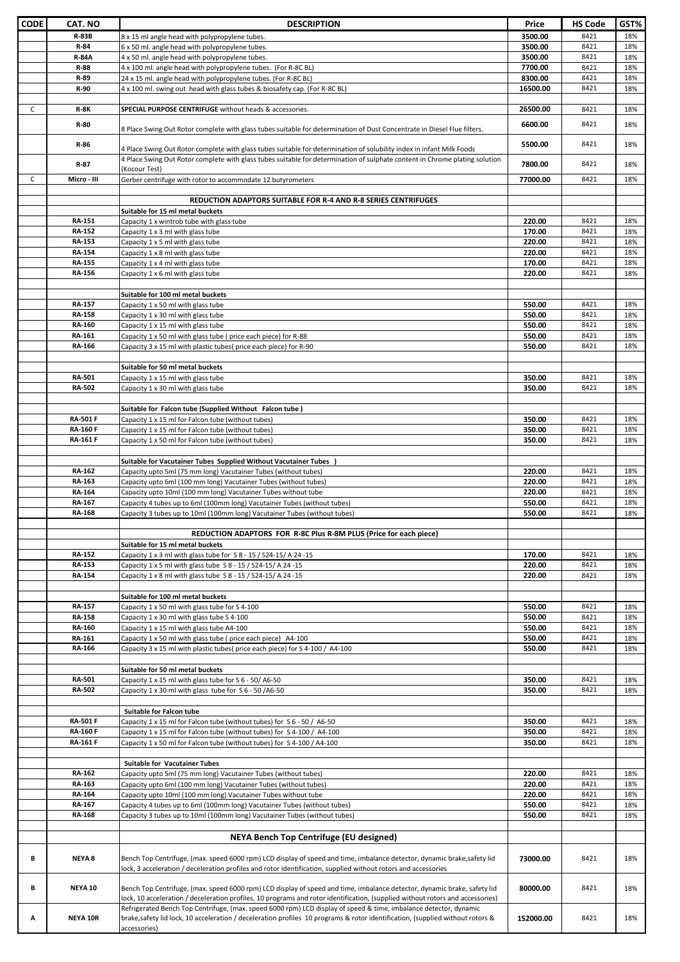| CODE         | CAT. NO                 | <b>DESCRIPTION</b>                                                                                                                                                                                                                                                 | Price            | <b>HS Code</b> | GST%       |
|--------------|-------------------------|--------------------------------------------------------------------------------------------------------------------------------------------------------------------------------------------------------------------------------------------------------------------|------------------|----------------|------------|
|              | <b>R-83B</b>            | 8 x 15 ml angle head with polypropylene tubes.                                                                                                                                                                                                                     | 3500.00          | 8421           | 18%        |
|              | R-84                    | 6 x 50 ml. angle head with polypropylene tubes.                                                                                                                                                                                                                    | 3500.00          | 8421           | 18%        |
|              | <b>R-84A</b>            | 4 x 50 ml. angle head with polypropylene tubes.                                                                                                                                                                                                                    | 3500.00          | 8421           | 18%        |
|              | R-88                    | 4 x 100 ml. angle head with polypropylene tubes. (For R-8C BL)                                                                                                                                                                                                     | 7700.00          | 8421           | 18%        |
|              | R-89                    | 24 x 15 ml. angle head with polypropylene tubes. (For R-8C BL)                                                                                                                                                                                                     | 8300.00          | 8421           | 18%        |
|              | R-90                    | 4 x 100 ml. swing out head with glass tubes & biosafety cap. (For R-8C BL)                                                                                                                                                                                         | 16500.00         | 8421           | 18%        |
| $\mathsf{C}$ | <b>R-8K</b>             | SPECIAL PURPOSE CENTRIFUGE without heads & accessories.                                                                                                                                                                                                            | 26500.00         | 8421           | 18%        |
|              | R-80                    | 8 Place Swing Out Rotor complete with glass tubes suitable for determination of Dust Concentrate in Diesel Flue filters.                                                                                                                                           | 6600.00          | 8421           | 18%        |
|              | R-86                    | 4 Place Swing Out Rotor complete with glass tubes suitable for determination of solubility index in infant Milk Foods                                                                                                                                              | 5500.00          | 8421           | 18%        |
|              | R-87                    | 4 Place Swing Out Rotor complete with glass tubes suitable for determination of sulphate content in Chrome plating solution<br>(Kocour Test)                                                                                                                       | 7800.00          | 8421           | 18%        |
| C            | Micro - III             | Gerber centrifuge with rotor to accommodate 12 butyrometers                                                                                                                                                                                                        | 77000.00         | 8421           | 18%        |
|              |                         | <b>REDUCTION ADAPTORS SUITABLE FOR R-4 AND R-8 SERIES CENTRIFUGES</b><br>Suitable for 15 ml metal buckets                                                                                                                                                          |                  |                |            |
|              | <b>RA-151</b>           | Capacity 1 x wintrob tube with glass tube                                                                                                                                                                                                                          | 220.00           | 8421           | 18%        |
|              | <b>RA-152</b>           | Capacity 1 x 3 ml with glass tube                                                                                                                                                                                                                                  | 170.00           | 8421           | 18%        |
|              | RA-153                  | Capacity 1 x 5 ml with glass tube                                                                                                                                                                                                                                  | 220.00           | 8421           | 18%        |
|              | <b>RA-154</b>           | Capacity 1 x 8 ml with glass tube                                                                                                                                                                                                                                  | 220.00           | 8421           | 18%        |
|              | <b>RA-155</b>           | Capacity 1 x 4 ml with glass tube                                                                                                                                                                                                                                  | 170.00           | 8421           | 18%        |
|              | <b>RA-156</b>           | Capacity 1 x 6 ml with glass tube                                                                                                                                                                                                                                  | 220.00           | 8421           | 18%        |
|              |                         |                                                                                                                                                                                                                                                                    |                  |                |            |
|              |                         | Suitable for 100 ml metal buckets                                                                                                                                                                                                                                  |                  |                |            |
|              | <b>RA-157</b>           | Capacity 1 x 50 ml with glass tube                                                                                                                                                                                                                                 | 550.00           | 8421           | 18%        |
|              | <b>RA-158</b>           | Capacity 1 x 30 ml with glass tube                                                                                                                                                                                                                                 | 550.00           | 8421           | 18%        |
|              | <b>RA-160</b>           | Capacity 1 x 15 ml with glass tube                                                                                                                                                                                                                                 | 550.00           | 8421           | 18%        |
|              | RA-161                  | Capacity 1 x 50 ml with glass tube (price each piece) for R-88                                                                                                                                                                                                     | 550.00           | 8421           | 18%        |
|              | <b>RA-166</b>           | Capacity 3 x 15 ml with plastic tubes(price each piece) for R-90                                                                                                                                                                                                   | 550.00           | 8421           | 18%        |
|              |                         | Suitable for 50 ml metal buckets                                                                                                                                                                                                                                   |                  |                |            |
|              | RA-501                  | Capacity 1 x 15 ml with glass tube                                                                                                                                                                                                                                 | 350.00           | 8421           | 18%        |
|              | RA-502                  | Capacity 1 x 30 ml with glass tube                                                                                                                                                                                                                                 | 350.00           | 8421           | 18%        |
|              |                         |                                                                                                                                                                                                                                                                    |                  |                |            |
|              |                         | Suitable for Falcon tube (Supplied Without Falcon tube)                                                                                                                                                                                                            |                  |                |            |
|              | <b>RA-501 F</b>         | Capacity 1 x 15 ml for Falcon tube (without tubes)                                                                                                                                                                                                                 | 350.00           | 8421           | 18%        |
|              | <b>RA-160 F</b>         | Capacity 1 x 15 ml for Falcon tube (without tubes)                                                                                                                                                                                                                 | 350.00           | 8421           | 18%        |
|              | <b>RA-161 F</b>         | Capacity 1 x 50 ml for Falcon tube (without tubes)                                                                                                                                                                                                                 | 350.00           | 8421           | 18%        |
|              |                         |                                                                                                                                                                                                                                                                    |                  |                |            |
|              |                         | Suitable for Vacutainer Tubes Supplied Without Vacutainer Tubes                                                                                                                                                                                                    |                  |                |            |
|              | <b>RA-162</b>           | Capacity upto 5ml (75 mm long) Vacutainer Tubes (without tubes)                                                                                                                                                                                                    | 220.00           | 8421           | 18%        |
|              | RA-163                  | Capacity upto 6ml (100 mm long) Vacutainer Tubes (without tubes)                                                                                                                                                                                                   | 220.00           | 8421           | 18%        |
|              | <b>RA-164</b>           | Capacity upto 10ml (100 mm long) Vacutainer Tubes without tube                                                                                                                                                                                                     | 220.00           | 8421           | 18%        |
|              | RA-167<br><b>RA-168</b> | Capacity 4 tubes up to 6ml (100mm long) Vacutainer Tubes (without tubes)<br>Capacity 3 tubes up to 10ml (100mm long) Vacutainer Tubes (without tubes)                                                                                                              | 550.00<br>550.00 | 8421<br>8421   | 18%<br>18% |
|              |                         |                                                                                                                                                                                                                                                                    |                  |                |            |
|              |                         | REDUCTION ADAPTORS FOR R-8C Plus R-8M PLUS (Price for each piece)                                                                                                                                                                                                  |                  |                |            |
|              | <b>RA-152</b>           | Suitable for 15 ml metal buckets<br>Capacity $1 \times 3$ ml with glass tube for $S_8 - 15 / S_2 - 15 / A_2 - 15$                                                                                                                                                  | 170.00           | 8421           | 18%        |
|              | RA-153                  |                                                                                                                                                                                                                                                                    | 220.00           | 8421           | 18%        |
|              | <b>RA-154</b>           | Capacity 1 x 5 ml with glass tube S 8 - 15 / S24-15/ A 24 -15<br>Capacity 1 x 8 ml with glass tube S 8 - 15 / S24-15/ A 24 -15                                                                                                                                     | 220.00           | 8421           | 18%        |
|              |                         |                                                                                                                                                                                                                                                                    |                  |                |            |
|              |                         | Suitable for 100 ml metal buckets                                                                                                                                                                                                                                  |                  |                |            |
|              | <b>RA-157</b>           | Capacity 1 x 50 ml with glass tube for S 4-100                                                                                                                                                                                                                     | 550.00           | 8421           | 18%        |
|              | <b>RA-158</b>           | Capacity 1 x 30 ml with glass tube S 4-100                                                                                                                                                                                                                         | 550.00           | 8421           | 18%        |
|              | <b>RA-160</b>           | Capacity 1 x 15 ml with glass tube A4-100                                                                                                                                                                                                                          | 550.00           | 8421           | 18%        |
|              | <b>RA-161</b>           | Capacity 1 x 50 ml with glass tube (price each piece) A4-100                                                                                                                                                                                                       | 550.00           | 8421           | 18%        |
|              | <b>RA-166</b>           | Capacity 3 x 15 ml with plastic tubes( price each piece) for S 4-100 / A4-100                                                                                                                                                                                      | 550.00           | 8421           | 18%        |
|              |                         |                                                                                                                                                                                                                                                                    |                  |                |            |
|              |                         | Suitable for 50 ml metal buckets                                                                                                                                                                                                                                   |                  |                |            |
|              | <b>RA-501</b>           | Capacity 1 x 15 ml with glass tube for S 6 - 50/ A6-50                                                                                                                                                                                                             | 350.00           | 8421           | 18%        |
|              | <b>RA-502</b>           | Capacity $1 \times 30$ ml with glass tube for $56 - 50$ /A6-50                                                                                                                                                                                                     | 350.00           | 8421           | 18%        |
|              |                         | Suitable for Falcon tube                                                                                                                                                                                                                                           |                  |                |            |
|              | <b>RA-501 F</b>         | Capacity 1 x 15 ml for Falcon tube (without tubes) for S 6 - 50 / A6-50                                                                                                                                                                                            | 350.00           | 8421           | 18%        |
|              | <b>RA-160 F</b>         | Capacity 1 x 15 ml for Falcon tube (without tubes) for S 4-100 / A4-100                                                                                                                                                                                            | 350.00           | 8421           | 18%        |
|              | <b>RA-161 F</b>         | Capacity 1 x 50 ml for Falcon tube (without tubes) for S 4-100 / A4-100                                                                                                                                                                                            | 350.00           | 8421           | 18%        |
|              |                         |                                                                                                                                                                                                                                                                    |                  |                |            |
|              |                         | Suitable for Vacutainer Tubes                                                                                                                                                                                                                                      |                  |                |            |
|              | <b>RA-162</b>           | Capacity upto 5ml (75 mm long) Vacutainer Tubes (without tubes)                                                                                                                                                                                                    | 220.00           | 8421           | 18%        |
|              | RA-163                  | Capacity upto 6ml (100 mm long) Vacutainer Tubes (without tubes)                                                                                                                                                                                                   | 220.00           | 8421           | 18%        |
|              | <b>RA-164</b>           | Capacity upto 10ml (100 mm long) Vacutainer Tubes without tube                                                                                                                                                                                                     | 220.00           | 8421           | 18%        |
|              | RA-167                  | Capacity 4 tubes up to 6ml (100mm long) Vacutainer Tubes (without tubes)                                                                                                                                                                                           | 550.00           | 8421           | 18%        |
|              | <b>RA-168</b>           | Capacity 3 tubes up to 10ml (100mm long) Vacutainer Tubes (without tubes)                                                                                                                                                                                          | 550.00           | 8421           | 18%        |
|              |                         | NEYA Bench Top Centrifuge (EU designed)                                                                                                                                                                                                                            |                  |                |            |
| В            | <b>NEYA 8</b>           | Bench Top Centrifuge, (max. speed 6000 rpm) LCD display of speed and time, imbalance detector, dynamic brake,safety lid                                                                                                                                            | 73000.00         | 8421           | 18%        |
|              |                         | lock, 3 acceleration / deceleration profiles and rotor identification, supplied without rotors and accessories                                                                                                                                                     |                  |                |            |
| В            | NEYA 10                 | Bench Top Centrifuge, (max. speed 6000 rpm) LCD display of speed and time, imbalance detector, dynamic brake, safety lid<br>lock, 10 acceleration / deceleration profiles, 10 programs and rotor identification, (supplied without rotors and accessories)         | 80000.00         | 8421           | 18%        |
| Α            | NEYA 10R                | Refrigerated Bench Top Centrifuge, (max. speed 6000 rpm) LCD display of speed & time, imbalance detector, dynamic<br>brake,safety lid lock, 10 acceleration / deceleration profiles 10 programs & rotor identification, (supplied without rotors &<br>accessories) | 152000.00        | 8421           | 18%        |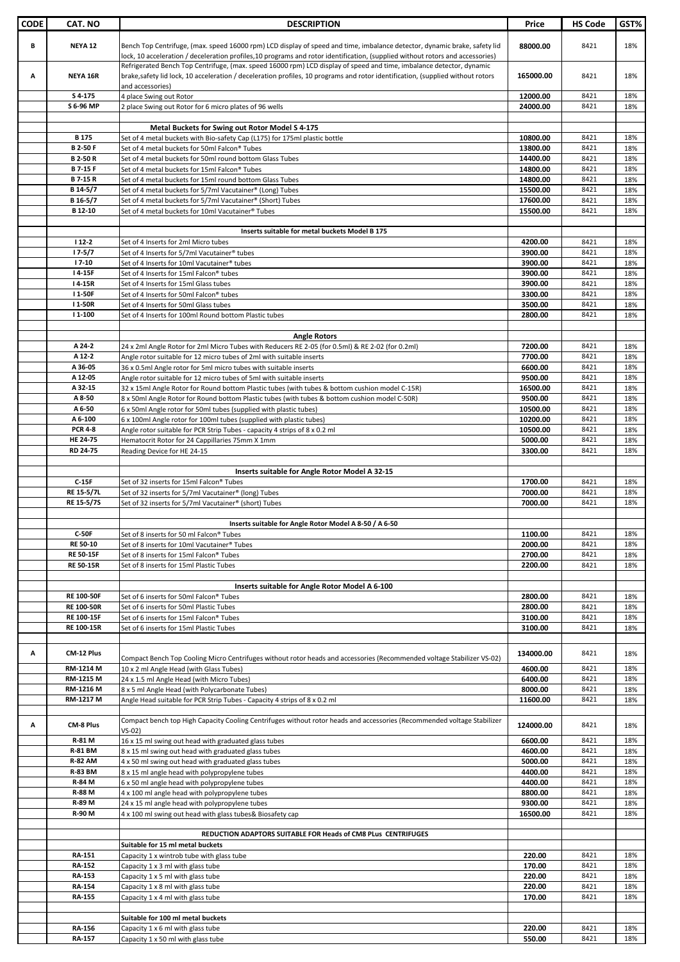| <b>CODE</b> | <b>CAT. NO</b>       | <b>DESCRIPTION</b>                                                                                                                                                                                                                                                         | Price                | <b>HS Code</b> | GST%       |
|-------------|----------------------|----------------------------------------------------------------------------------------------------------------------------------------------------------------------------------------------------------------------------------------------------------------------------|----------------------|----------------|------------|
| В           | <b>NEYA 12</b>       | Bench Top Centrifuge, (max. speed 16000 rpm) LCD display of speed and time, imbalance detector, dynamic brake, safety lid<br>lock, 10 acceleration / deceleration profiles,10 programs and rotor identification, (supplied without rotors and accessories)                 | 88000.00             | 8421           | 18%        |
| А           | <b>NEYA 16R</b>      | Refrigerated Bench Top Centrifuge, (max. speed 16000 rpm) LCD display of speed and time, imbalance detector, dynamic<br>brake,safety lid lock, 10 acceleration / deceleration profiles, 10 programs and rotor identification, (supplied without rotors<br>and accessories) | 165000.00            | 8421           | 18%        |
|             | S 4-175              | 4 place Swing out Rotor                                                                                                                                                                                                                                                    | 12000.00             | 8421           | 18%        |
|             | S 6-96 MP            | 2 place Swing out Rotor for 6 micro plates of 96 wells                                                                                                                                                                                                                     | 24000.00             | 8421           | 18%        |
|             |                      |                                                                                                                                                                                                                                                                            |                      |                |            |
|             | <b>B175</b>          | Metal Buckets for Swing out Rotor Model S 4-175<br>Set of 4 metal buckets with Bio-safety Cap (L175) for 175ml plastic bottle                                                                                                                                              | 10800.00             | 8421           | 18%        |
|             | <b>B2-50F</b>        | Set of 4 metal buckets for 50ml Falcon® Tubes                                                                                                                                                                                                                              | 13800.00             | 8421           | 18%        |
|             | <b>B2-50R</b>        | Set of 4 metal buckets for 50ml round bottom Glass Tubes                                                                                                                                                                                                                   | 14400.00             | 8421           | 18%        |
|             | <b>B7-15F</b>        | Set of 4 metal buckets for 15ml Falcon® Tubes                                                                                                                                                                                                                              | 14800.00             | 8421           | 18%        |
|             | <b>B7-15R</b>        | Set of 4 metal buckets for 15ml round bottom Glass Tubes                                                                                                                                                                                                                   | 14800.00             | 8421           | 18%        |
|             | B 14-5/7             | Set of 4 metal buckets for 5/7ml Vacutainer® (Long) Tubes                                                                                                                                                                                                                  | 15500.00             | 8421           | 18%        |
|             | B 16-5/7<br>B 12-10  | Set of 4 metal buckets for 5/7ml Vacutainer® (Short) Tubes<br>Set of 4 metal buckets for 10ml Vacutainer® Tubes                                                                                                                                                            | 17600.00<br>15500.00 | 8421<br>8421   | 18%<br>18% |
|             |                      |                                                                                                                                                                                                                                                                            |                      |                |            |
|             |                      | Inserts suitable for metal buckets Model B 175                                                                                                                                                                                                                             |                      |                |            |
|             | $112 - 2$            | Set of 4 Inserts for 2ml Micro tubes                                                                                                                                                                                                                                       | 4200.00              | 8421           | 18%        |
|             | $17 - 5/7$           | Set of 4 Inserts for 5/7ml Vacutainer® tubes                                                                                                                                                                                                                               | 3900.00              | 8421           | 18%        |
|             | $17 - 10$<br>I 4-15F | Set of 4 Inserts for 10ml Vacutainer® tubes                                                                                                                                                                                                                                | 3900.00              | 8421           | 18%        |
|             | I 4-15R              | Set of 4 Inserts for 15ml Falcon® tubes<br>Set of 4 Inserts for 15ml Glass tubes                                                                                                                                                                                           | 3900.00<br>3900.00   | 8421<br>8421   | 18%<br>18% |
|             | I 1-50F              | Set of 4 Inserts for 50ml Falcon® tubes                                                                                                                                                                                                                                    | 3300.00              | 8421           | 18%        |
|             | I 1-50R              | Set of 4 Inserts for 50ml Glass tubes                                                                                                                                                                                                                                      | 3500.00              | 8421           | 18%        |
|             | $11-100$             | Set of 4 Inserts for 100ml Round bottom Plastic tubes                                                                                                                                                                                                                      | 2800.00              | 8421           | 18%        |
|             |                      |                                                                                                                                                                                                                                                                            |                      |                |            |
|             |                      | <b>Angle Rotors</b>                                                                                                                                                                                                                                                        |                      |                |            |
|             | A 24-2               | 24 x 2ml Angle Rotor for 2ml Micro Tubes with Reducers RE 2-05 (for 0.5ml) & RE 2-02 (for 0.2ml)                                                                                                                                                                           | 7200.00              | 8421           | 18%        |
|             | A 12-2<br>A 36-05    | Angle rotor suitable for 12 micro tubes of 2ml with suitable inserts<br>36 x 0.5ml Angle rotor for 5ml micro tubes with suitable inserts                                                                                                                                   | 7700.00<br>6600.00   | 8421<br>8421   | 18%<br>18% |
|             | A 12-05              | Angle rotor suitable for 12 micro tubes of 5ml with suitable inserts                                                                                                                                                                                                       | 9500.00              | 8421           | 18%        |
|             | A 32-15              | 32 x 15ml Angle Rotor for Round bottom Plastic tubes (with tubes & bottom cushion model C-15R)                                                                                                                                                                             | 16500.00             | 8421           | 18%        |
|             | A 8-50               | 8 x 50ml Angle Rotor for Round bottom Plastic tubes (with tubes & bottom cushion model C-50R)                                                                                                                                                                              | 9500.00              | 8421           | 18%        |
|             | A 6-50               | 6 x 50ml Angle rotor for 50ml tubes (supplied with plastic tubes)                                                                                                                                                                                                          | 10500.00             | 8421           | 18%        |
|             | A 6-100              | 6 x 100ml Angle rotor for 100ml tubes (supplied with plastic tubes)                                                                                                                                                                                                        | 10200.00             | 8421           | 18%        |
|             | <b>PCR 4-8</b>       | Angle rotor suitable for PCR Strip Tubes - capacity 4 strips of 8 x 0.2 ml                                                                                                                                                                                                 | 10500.00             | 8421<br>8421   | 18%<br>18% |
|             | HE 24-75<br>RD 24-75 | Hematocrit Rotor for 24 Cappillaries 75mm X 1mm<br>Reading Device for HE 24-15                                                                                                                                                                                             | 5000.00<br>3300.00   | 8421           | 18%        |
|             |                      |                                                                                                                                                                                                                                                                            |                      |                |            |
|             |                      | Inserts suitable for Angle Rotor Model A 32-15                                                                                                                                                                                                                             |                      |                |            |
|             | $C-15F$              | Set of 32 inserts for 15ml Falcon® Tubes                                                                                                                                                                                                                                   | 1700.00              | 8421           | 18%        |
|             | RE 15-5/7L           | Set of 32 inserts for 5/7ml Vacutainer® (long) Tubes                                                                                                                                                                                                                       | 7000.00              | 8421           | 18%        |
|             | RE 15-5/7S           | Set of 32 inserts for 5/7ml Vacutainer® (short) Tubes                                                                                                                                                                                                                      | 7000.00              | 8421           | 18%        |
|             |                      | Inserts suitable for Angle Rotor Model A 8-50 / A 6-50                                                                                                                                                                                                                     |                      |                |            |
|             | <b>C-50F</b>         | Set of 8 inserts for 50 ml Falcon® Tubes                                                                                                                                                                                                                                   | 1100.00              | 8421           | 18%        |
|             | RE 50-10             | Set of 8 inserts for 10ml Vacutainer® Tubes                                                                                                                                                                                                                                | 2000.00              | 8421           | 18%        |
|             | <b>RE 50-15F</b>     | Set of 8 inserts for 15ml Falcon® Tubes                                                                                                                                                                                                                                    | 2700.00              | 8421           | 18%        |
|             | <b>RE 50-15R</b>     | Set of 8 inserts for 15ml Plastic Tubes                                                                                                                                                                                                                                    | 2200.00              | 8421           | 18%        |
|             |                      |                                                                                                                                                                                                                                                                            |                      |                |            |
|             | <b>RE 100-50F</b>    | Inserts suitable for Angle Rotor Model A 6-100                                                                                                                                                                                                                             | 2800.00              | 8421           | 18%        |
|             | <b>RE 100-50R</b>    | Set of 6 inserts for 50ml Falcon® Tubes<br>Set of 6 inserts for 50ml Plastic Tubes                                                                                                                                                                                         | 2800.00              | 8421           | 18%        |
|             | RE 100-15F           | Set of 6 inserts for 15ml Falcon® Tubes                                                                                                                                                                                                                                    | 3100.00              | 8421           | 18%        |
|             | RE 100-15R           | Set of 6 inserts for 15ml Plastic Tubes                                                                                                                                                                                                                                    | 3100.00              | 8421           | 18%        |
|             |                      |                                                                                                                                                                                                                                                                            |                      |                |            |
| А           | CM-12 Plus           |                                                                                                                                                                                                                                                                            | 134000.00            | 8421           | 18%        |
|             | RM-1214 M            | Compact Bench Top Cooling Micro Centrifuges without rotor heads and accessories (Recommended voltage Stabilizer VS-02)<br>10 x 2 ml Angle Head (with Glass Tubes)                                                                                                          | 4600.00              | 8421           | 18%        |
|             | RM-1215 M            | 24 x 1.5 ml Angle Head (with Micro Tubes)                                                                                                                                                                                                                                  | 6400.00              | 8421           | 18%        |
|             | RM-1216 M            | 8 x 5 ml Angle Head (with Polycarbonate Tubes)                                                                                                                                                                                                                             | 8000.00              | 8421           | 18%        |
|             | RM-1217 M            | Angle Head suitable for PCR Strip Tubes - Capacity 4 strips of 8 x 0.2 ml                                                                                                                                                                                                  | 11600.00             | 8421           | 18%        |
|             |                      |                                                                                                                                                                                                                                                                            |                      |                |            |
| Α           | CM-8 Plus            | Compact bench top High Capacity Cooling Centrifuges without rotor heads and accessories (Recommended voltage Stabilizer<br>$VS-02)$                                                                                                                                        | 124000.00            | 8421           | 18%        |
|             | R-81 M               | 16 x 15 ml swing out head with graduated glass tubes                                                                                                                                                                                                                       | 6600.00              | 8421           | 18%        |
|             | <b>R-81 BM</b>       | 8 x 15 ml swing out head with graduated glass tubes                                                                                                                                                                                                                        | 4600.00              | 8421           | 18%        |
|             | <b>R-82 AM</b>       | 4 x 50 ml swing out head with graduated glass tubes                                                                                                                                                                                                                        | 5000.00              | 8421           | 18%        |
|             | <b>R-83 BM</b>       | 8 x 15 ml angle head with polypropylene tubes                                                                                                                                                                                                                              | 4400.00              | 8421           | 18%        |
|             | R-84 M<br>R-88 M     | 6 x 50 ml angle head with polypropylene tubes                                                                                                                                                                                                                              | 4400.00              | 8421<br>8421   | 18%        |
|             | R-89 M               | 4 x 100 ml angle head with polypropylene tubes<br>24 x 15 ml angle head with polypropylene tubes                                                                                                                                                                           | 8800.00<br>9300.00   | 8421           | 18%<br>18% |
|             | R-90 M               | 4 x 100 ml swing out head with glass tubes& Biosafety cap                                                                                                                                                                                                                  | 16500.00             | 8421           | 18%        |
|             |                      |                                                                                                                                                                                                                                                                            |                      |                |            |
|             |                      | REDUCTION ADAPTORS SUITABLE FOR Heads of CM8 PLus CENTRIFUGES<br>Suitable for 15 ml metal buckets                                                                                                                                                                          |                      |                |            |
|             | RA-151               | Capacity 1 x wintrob tube with glass tube                                                                                                                                                                                                                                  | 220.00               | 8421           | 18%        |
|             | RA-152               | Capacity 1 x 3 ml with glass tube                                                                                                                                                                                                                                          | 170.00               | 8421           | 18%        |
|             | RA-153               | Capacity 1 x 5 ml with glass tube                                                                                                                                                                                                                                          | 220.00               | 8421           | 18%        |
|             | <b>RA-154</b>        | Capacity 1 x 8 ml with glass tube                                                                                                                                                                                                                                          | 220.00               | 8421           | 18%        |
|             | <b>RA-155</b>        | Capacity 1 x 4 ml with glass tube                                                                                                                                                                                                                                          | 170.00               | 8421           | 18%        |
|             |                      | Suitable for 100 ml metal buckets                                                                                                                                                                                                                                          |                      |                |            |
|             | RA-156               | Capacity 1 x 6 ml with glass tube                                                                                                                                                                                                                                          | 220.00               | 8421           | 18%        |
|             | <b>RA-157</b>        | Capacity 1 x 50 ml with glass tube                                                                                                                                                                                                                                         | 550.00               | 8421           | 18%        |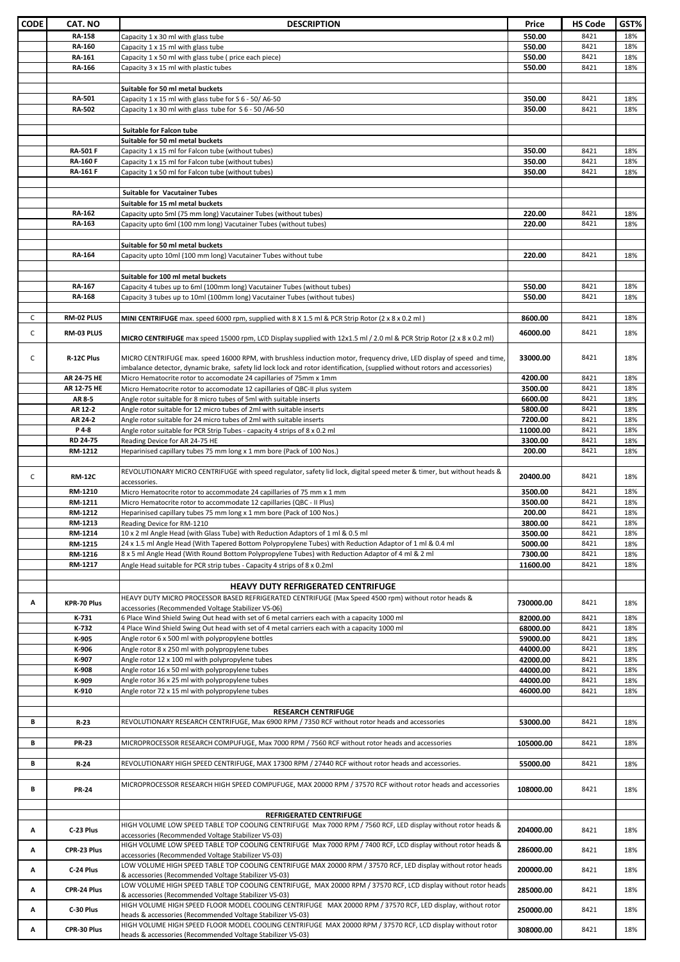| <b>CODE</b> | CAT. NO         | <b>DESCRIPTION</b>                                                                                                                                                                                                                                    | Price     | <b>HS Code</b> | GST% |
|-------------|-----------------|-------------------------------------------------------------------------------------------------------------------------------------------------------------------------------------------------------------------------------------------------------|-----------|----------------|------|
|             | <b>RA-158</b>   | Capacity 1 x 30 ml with glass tube                                                                                                                                                                                                                    | 550.00    | 8421           | 18%  |
|             | RA-160          | Capacity 1 x 15 ml with glass tube                                                                                                                                                                                                                    | 550.00    | 8421           | 18%  |
|             | RA-161          | Capacity 1 x 50 ml with glass tube (price each piece)                                                                                                                                                                                                 | 550.00    | 8421           | 18%  |
|             | RA-166          | Capacity 3 x 15 ml with plastic tubes                                                                                                                                                                                                                 | 550.00    | 8421           | 18%  |
|             |                 |                                                                                                                                                                                                                                                       |           |                |      |
|             |                 | Suitable for 50 ml metal buckets                                                                                                                                                                                                                      |           |                |      |
|             | RA-501          | Capacity 1 x 15 ml with glass tube for S 6 - 50/ A6-50                                                                                                                                                                                                | 350.00    | 8421           | 18%  |
|             | RA-502          | Capacity 1 x 30 ml with glass tube for S 6 - 50 /A6-50                                                                                                                                                                                                | 350.00    | 8421           | 18%  |
|             |                 |                                                                                                                                                                                                                                                       |           |                |      |
|             |                 | Suitable for Falcon tube                                                                                                                                                                                                                              |           |                |      |
|             | <b>RA-501 F</b> | Suitable for 50 ml metal buckets<br>Capacity 1 x 15 ml for Falcon tube (without tubes)                                                                                                                                                                | 350.00    | 8421           | 18%  |
|             | <b>RA-160 F</b> | Capacity 1 x 15 ml for Falcon tube (without tubes)                                                                                                                                                                                                    | 350.00    | 8421           | 18%  |
|             | <b>RA-161 F</b> | Capacity 1 x 50 ml for Falcon tube (without tubes)                                                                                                                                                                                                    | 350.00    | 8421           | 18%  |
|             |                 |                                                                                                                                                                                                                                                       |           |                |      |
|             |                 | <b>Suitable for Vacutainer Tubes</b>                                                                                                                                                                                                                  |           |                |      |
|             |                 | Suitable for 15 ml metal buckets                                                                                                                                                                                                                      |           |                |      |
|             | RA-162          | Capacity upto 5ml (75 mm long) Vacutainer Tubes (without tubes)                                                                                                                                                                                       | 220.00    | 8421           | 18%  |
|             | RA-163          | Capacity upto 6ml (100 mm long) Vacutainer Tubes (without tubes)                                                                                                                                                                                      | 220.00    | 8421           | 18%  |
|             |                 |                                                                                                                                                                                                                                                       |           |                |      |
|             | <b>RA-164</b>   | Suitable for 50 ml metal buckets                                                                                                                                                                                                                      |           | 8421           |      |
|             |                 | Capacity upto 10ml (100 mm long) Vacutainer Tubes without tube                                                                                                                                                                                        | 220.00    |                | 18%  |
|             |                 | Suitable for 100 ml metal buckets                                                                                                                                                                                                                     |           |                |      |
|             | RA-167          | Capacity 4 tubes up to 6ml (100mm long) Vacutainer Tubes (without tubes)                                                                                                                                                                              | 550.00    | 8421           | 18%  |
|             | RA-168          | Capacity 3 tubes up to 10ml (100mm long) Vacutainer Tubes (without tubes)                                                                                                                                                                             | 550.00    | 8421           | 18%  |
|             |                 |                                                                                                                                                                                                                                                       |           |                |      |
| C           | RM-02 PLUS      | MINI CENTRIFUGE max. speed 6000 rpm, supplied with 8 X 1.5 ml & PCR Strip Rotor (2 x 8 x 0.2 ml)                                                                                                                                                      | 8600.00   | 8421           | 18%  |
| C           | RM-03 PLUS      |                                                                                                                                                                                                                                                       | 46000.00  | 8421           | 18%  |
|             |                 | <b>MICRO CENTRIFUGE</b> max speed 15000 rpm, LCD Display supplied with 12x1.5 ml / 2.0 ml & PCR Strip Rotor (2 x 8 x 0.2 ml)                                                                                                                          |           |                |      |
|             |                 |                                                                                                                                                                                                                                                       |           |                |      |
| C           | R-12C Plus      | MICRO CENTRIFUGE max. speed 16000 RPM, with brushless induction motor, frequency drive, LED display of speed and time,<br>imbalance detector, dynamic brake, safety lid lock lock and rotor identification, (supplied without rotors and accessories) | 33000.00  | 8421           | 18%  |
|             | AR 24-75 HE     | Micro Hematocrite rotor to accomodate 24 capillaries of 75mm x 1mm                                                                                                                                                                                    | 4200.00   | 8421           | 18%  |
|             | AR 12-75 HE     | Micro Hematocrite rotor to accomodate 12 capillaries of QBC-II plus system                                                                                                                                                                            | 3500.00   | 8421           | 18%  |
|             | AR 8-5          | Angle rotor suitable for 8 micro tubes of 5ml with suitable inserts                                                                                                                                                                                   | 6600.00   | 8421           | 18%  |
|             | AR 12-2         | Angle rotor suitable for 12 micro tubes of 2ml with suitable inserts                                                                                                                                                                                  | 5800.00   | 8421           | 18%  |
|             | AR 24-2         | Angle rotor suitable for 24 micro tubes of 2ml with suitable inserts                                                                                                                                                                                  | 7200.00   | 8421           | 18%  |
|             | P 4-8           | Angle rotor suitable for PCR Strip Tubes - capacity 4 strips of 8 x 0.2 ml                                                                                                                                                                            | 11000.00  | 8421           | 18%  |
|             | RD 24-75        | Reading Device for AR 24-75 HE                                                                                                                                                                                                                        | 3300.00   | 8421           | 18%  |
|             | RM-1212         | Heparinised capillary tubes 75 mm long x 1 mm bore (Pack of 100 Nos.)                                                                                                                                                                                 | 200.00    | 8421           | 18%  |
|             |                 |                                                                                                                                                                                                                                                       |           |                |      |
| C           | <b>RM-12C</b>   | REVOLUTIONARY MICRO CENTRIFUGE with speed regulator, safety lid lock, digital speed meter & timer, but without heads &<br>accessories.                                                                                                                | 20400.00  | 8421           | 18%  |
|             | RM-1210         | Micro Hematocrite rotor to accommodate 24 capillaries of 75 mm x 1 mm                                                                                                                                                                                 | 3500.00   | 8421           | 18%  |
|             | RM-1211         | Micro Hematocrite rotor to accommodate 12 capillaries (QBC - II Plus)                                                                                                                                                                                 | 3500.00   | 8421           | 18%  |
|             | RM-1212         | Heparinised capillary tubes 75 mm long x 1 mm bore (Pack of 100 Nos.)                                                                                                                                                                                 | 200.00    | 8421           | 18%  |
|             | RM-1213         | Reading Device for RM-1210                                                                                                                                                                                                                            | 3800.00   | 8421           | 18%  |
|             | RM-1214         | 10 x 2 ml Angle Head (with Glass Tube) with Reduction Adaptors of 1 ml & 0.5 ml                                                                                                                                                                       | 3500.00   | 8421           | 18%  |
|             | RM-1215         | 24 x 1.5 ml Angle Head (With Tapered Bottom Polypropylene Tubes) with Reduction Adaptor of 1 ml & 0.4 ml                                                                                                                                              | 5000.00   | 8421           | 18%  |
|             | RM-1216         | 8 x 5 ml Angle Head (With Round Bottom Polypropylene Tubes) with Reduction Adaptor of 4 ml & 2 ml                                                                                                                                                     | 7300.00   | 8421           | 18%  |
|             | RM-1217         | Angle Head suitable for PCR strip tubes - Capacity 4 strips of 8 x 0.2ml                                                                                                                                                                              | 11600.00  | 8421           | 18%  |
|             |                 |                                                                                                                                                                                                                                                       |           |                |      |
|             |                 | <b>HEAVY DUTY REFRIGERATED CENTRIFUGE</b>                                                                                                                                                                                                             |           |                |      |
| Α           | KPR-70 Plus     | HEAVY DUTY MICRO PROCESSOR BASED REFRIGERATED CENTRIFUGE (Max Speed 4500 rpm) without rotor heads &                                                                                                                                                   | 730000.00 | 8421           | 18%  |
|             | K-731           | accessories (Recommended Voltage Stabilizer VS-06)<br>6 Place Wind Shield Swing Out head with set of 6 metal carriers each with a capacity 1000 ml                                                                                                    | 82000.00  | 8421           | 18%  |
|             | K-732           | 4 Place Wind Shield Swing Out head with set of 4 metal carriers each with a capacity 1000 ml                                                                                                                                                          | 68000.00  | 8421           | 18%  |
|             | K-905           | Angle rotor 6 x 500 ml with polypropylene bottles                                                                                                                                                                                                     | 59000.00  | 8421           | 18%  |
|             | K-906           | Angle rotor 8 x 250 ml with polypropylene tubes                                                                                                                                                                                                       | 44000.00  | 8421           | 18%  |
|             | K-907           | Angle rotor 12 x 100 ml with polypropylene tubes                                                                                                                                                                                                      | 42000.00  | 8421           | 18%  |
|             | K-908           | Angle rotor 16 x 50 ml with polypropylene tubes                                                                                                                                                                                                       | 44000.00  | 8421           | 18%  |
|             | K-909           | Angle rotor 36 x 25 ml with polypropylene tubes                                                                                                                                                                                                       | 44000.00  | 8421           | 18%  |
|             | K-910           | Angle rotor 72 x 15 ml with polypropylene tubes                                                                                                                                                                                                       | 46000.00  | 8421           | 18%  |
|             |                 |                                                                                                                                                                                                                                                       |           |                |      |
| В           |                 | <b>RESEARCH CENTRIFUGE</b><br>REVOLUTIONARY RESEARCH CENTRIFUGE, Max 6900 RPM / 7350 RCF without rotor heads and accessories                                                                                                                          | 53000.00  | 8421           |      |
|             | R-23            |                                                                                                                                                                                                                                                       |           |                | 18%  |
| В           | <b>PR-23</b>    | MICROPROCESSOR RESEARCH COMPUFUGE, Max 7000 RPM / 7560 RCF without rotor heads and accessories                                                                                                                                                        | 105000.00 | 8421           | 18%  |
|             |                 |                                                                                                                                                                                                                                                       |           |                |      |
| В           | $R-24$          | REVOLUTIONARY HIGH SPEED CENTRIFUGE, MAX 17300 RPM / 27440 RCF without rotor heads and accessories.                                                                                                                                                   | 55000.00  | 8421           | 18%  |
|             |                 |                                                                                                                                                                                                                                                       |           |                |      |
| В           | <b>PR-24</b>    | MICROPROCESSOR RESEARCH HIGH SPEED COMPUFUGE, MAX 20000 RPM / 37570 RCF without rotor heads and accessories                                                                                                                                           | 108000.00 | 8421           | 18%  |
|             |                 |                                                                                                                                                                                                                                                       |           |                |      |
|             |                 |                                                                                                                                                                                                                                                       |           |                |      |
|             |                 | REFRIGERATED CENTRIFUGE<br>HIGH VOLUME LOW SPEED TABLE TOP COOLING CENTRIFUGE Max 7000 RPM / 7560 RCF, LED display without rotor heads &                                                                                                              |           |                |      |
| Α           | C-23 Plus       | accessories (Recommended Voltage Stabilizer VS-03)                                                                                                                                                                                                    | 204000.00 | 8421           | 18%  |
|             |                 | HIGH VOLUME LOW SPEED TABLE TOP COOLING CENTRIFUGE Max 7000 RPM / 7400 RCF, LCD display without rotor heads &                                                                                                                                         |           |                |      |
| Α           | CPR-23 Plus     | accessories (Recommended Voltage Stabilizer VS-03)                                                                                                                                                                                                    | 286000.00 | 8421           | 18%  |
| Α           | C-24 Plus       | LOW VOLUME HIGH SPEED TABLE TOP COOLING CENTRIFUGE MAX 20000 RPM / 37570 RCF, LED display without rotor heads                                                                                                                                         | 200000.00 | 8421           | 18%  |
|             |                 | & accessories (Recommended Voltage Stabilizer VS-03)                                                                                                                                                                                                  |           |                |      |
| Α           | CPR-24 Plus     | LOW VOLUME HIGH SPEED TABLE TOP COOLING CENTRIFUGE, MAX 20000 RPM / 37570 RCF, LCD display without rotor heads                                                                                                                                        | 285000.00 | 8421           | 18%  |
|             |                 | & accessories (Recommended Voltage Stabilizer VS-03)<br>HIGH VOLUME HIGH SPEED FLOOR MODEL COOLING CENTRIFUGE MAX 20000 RPM / 37570 RCF, LED display, without rotor                                                                                   |           |                |      |
| Α           | C-30 Plus       | heads & accessories (Recommended Voltage Stabilizer VS-03)                                                                                                                                                                                            | 250000.00 | 8421           | 18%  |
|             |                 | HIGH VOLUME HIGH SPEED FLOOR MODEL COOLING CENTRIFUGE MAX 20000 RPM / 37570 RCF, LCD display without rotor                                                                                                                                            |           |                |      |
| А           | CPR-30 Plus     | heads & accessories (Recommended Voltage Stabilizer VS-03)                                                                                                                                                                                            | 308000.00 | 8421           | 18%  |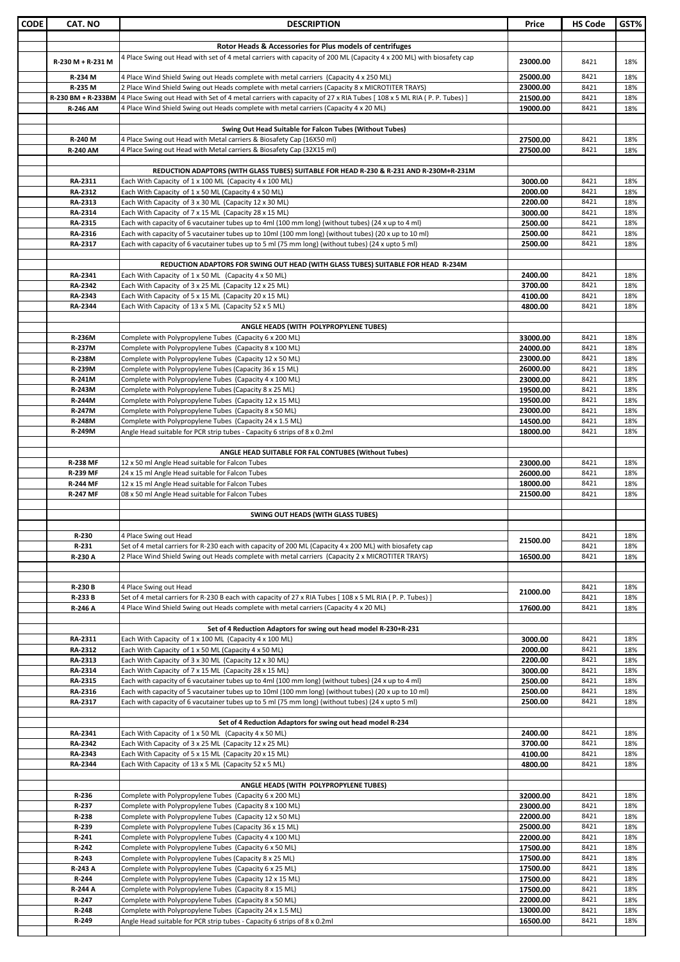| <b>CODE</b> | <b>CAT. NO</b>            | <b>DESCRIPTION</b>                                                                                                                                                                                          | Price                | <b>HS Code</b> | GST%       |
|-------------|---------------------------|-------------------------------------------------------------------------------------------------------------------------------------------------------------------------------------------------------------|----------------------|----------------|------------|
|             |                           |                                                                                                                                                                                                             |                      |                |            |
|             |                           | Rotor Heads & Accessories for Plus models of centrifuges                                                                                                                                                    |                      |                |            |
|             | R-230 M + R-231 M         | 4 Place Swing out Head with set of 4 metal carriers with capacity of 200 ML (Capacity 4 x 200 ML) with biosafety cap                                                                                        | 23000.00             | 8421           | 18%        |
|             | R-234 M                   | 4 Place Wind Shield Swing out Heads complete with metal carriers (Capacity 4 x 250 ML)                                                                                                                      | 25000.00             | 8421           | 18%        |
|             | R-235 M                   | 2 Place Wind Shield Swing out Heads complete with metal carriers (Capacity 8 x MICROTITER TRAYS)                                                                                                            | 23000.00             | 8421           | 18%        |
|             |                           | R-230 BM + R-233BM  4 Place Swing out Head with Set of 4 metal carriers with capacity of 27 x RIA Tubes [108 x 5 ML RIA (P. P. Tubes) ]                                                                     | 21500.00             | 8421           | 18%        |
|             | <b>R-246 AM</b>           | 4 Place Wind Shield Swing out Heads complete with metal carriers (Capacity 4 x 20 ML)                                                                                                                       | 19000.00             | 8421           | 18%        |
|             |                           | Swing Out Head Suitable for Falcon Tubes (Without Tubes)                                                                                                                                                    |                      |                |            |
|             | R-240 M                   | 4 Place Swing out Head with Metal carriers & Biosafety Cap (16X50 ml)                                                                                                                                       | 27500.00             | 8421           | 18%        |
|             | <b>R-240 AM</b>           | 4 Place Swing out Head with Metal carriers & Biosafety Cap (32X15 ml)                                                                                                                                       | 27500.00             | 8421           | 18%        |
|             |                           | REDUCTION ADAPTORS (WITH GLASS TUBES) SUITABLE FOR HEAD R-230 & R-231 AND R-230M+R-231M                                                                                                                     |                      |                |            |
|             | RA-2311                   | Each With Capacity of 1 x 100 ML (Capacity 4 x 100 ML)                                                                                                                                                      | 3000.00              | 8421           | 18%        |
|             | RA-2312                   | Each With Capacity of 1 x 50 ML (Capacity 4 x 50 ML)                                                                                                                                                        | 2000.00              | 8421           | 18%        |
|             | RA-2313                   | Each With Capacity of 3 x 30 ML (Capacity 12 x 30 ML)                                                                                                                                                       | 2200.00              | 8421           | 18%        |
|             | RA-2314<br>RA-2315        | Each With Capacity of 7 x 15 ML (Capacity 28 x 15 ML)<br>Each with capacity of 6 vacutainer tubes up to 4ml (100 mm long) (without tubes) (24 x up to 4 ml)                                                 | 3000.00<br>2500.00   | 8421<br>8421   | 18%<br>18% |
|             | RA-2316                   | Each with capacity of 5 vacutainer tubes up to 10ml (100 mm long) (without tubes) (20 x up to 10 ml)                                                                                                        | 2500.00              | 8421           | 18%        |
|             | RA-2317                   | Each with capacity of 6 vacutainer tubes up to 5 ml (75 mm long) (without tubes) (24 x upto 5 ml)                                                                                                           | 2500.00              | 8421           | 18%        |
|             |                           |                                                                                                                                                                                                             |                      |                |            |
|             |                           | REDUCTION ADAPTORS FOR SWING OUT HEAD (WITH GLASS TUBES) SUITABLE FOR HEAD R-234M                                                                                                                           |                      |                |            |
|             | RA-2341<br>RA-2342        | Each With Capacity of 1 x 50 ML (Capacity 4 x 50 ML)<br>Each With Capacity of 3 x 25 ML (Capacity 12 x 25 ML)                                                                                               | 2400.00<br>3700.00   | 8421<br>8421   | 18%<br>18% |
|             | RA-2343                   | Each With Capacity of 5 x 15 ML (Capacity 20 x 15 ML)                                                                                                                                                       | 4100.00              | 8421           | 18%        |
|             | RA-2344                   | Each With Capacity of 13 x 5 ML (Capacity 52 x 5 ML)                                                                                                                                                        | 4800.00              | 8421           | 18%        |
|             |                           |                                                                                                                                                                                                             |                      |                |            |
|             | <b>R-236M</b>             | ANGLE HEADS (WITH POLYPROPYLENE TUBES)<br>Complete with Polypropylene Tubes (Capacity 6 x 200 ML)                                                                                                           | 33000.00             | 8421           | 18%        |
|             | R-237M                    | Complete with Polypropylene Tubes (Capacity 8 x 100 ML)                                                                                                                                                     | 24000.00             | 8421           | 18%        |
|             | <b>R-238M</b>             | Complete with Polypropylene Tubes (Capacity 12 x 50 ML)                                                                                                                                                     | 23000.00             | 8421           | 18%        |
|             | R-239M                    | Complete with Polypropylene Tubes (Capacity 36 x 15 ML)                                                                                                                                                     | 26000.00             | 8421           | 18%        |
|             | R-241M<br>R-243M          | Complete with Polypropylene Tubes (Capacity 4 x 100 ML)<br>Complete with Polypropylene Tubes (Capacity 8 x 25 ML)                                                                                           | 23000.00<br>19500.00 | 8421<br>8421   | 18%<br>18% |
|             | R-244M                    | Complete with Polypropylene Tubes (Capacity 12 x 15 ML)                                                                                                                                                     | 19500.00             | 8421           | 18%        |
|             | R-247M                    | Complete with Polypropylene Tubes (Capacity 8 x 50 ML)                                                                                                                                                      | 23000.00             | 8421           | 18%        |
|             | R-248M                    | Complete with Polypropylene Tubes (Capacity 24 x 1.5 ML)                                                                                                                                                    | 14500.00             | 8421           | 18%        |
|             | R-249M                    | Angle Head suitable for PCR strip tubes - Capacity 6 strips of 8 x 0.2ml                                                                                                                                    | 18000.00             | 8421           | 18%        |
|             |                           | ANGLE HEAD SUITABLE FOR FAL CONTUBES (Without Tubes)                                                                                                                                                        |                      |                |            |
|             | <b>R-238 MF</b>           | 12 x 50 ml Angle Head suitable for Falcon Tubes                                                                                                                                                             | 23000.00             | 8421           | 18%        |
|             | R-239 MF                  | 24 x 15 ml Angle Head suitable for Falcon Tubes                                                                                                                                                             | 26000.00             | 8421           | 18%        |
|             | <b>R-244 MF</b>           | 12 x 15 ml Angle Head suitable for Falcon Tubes                                                                                                                                                             | 18000.00             | 8421           | 18%        |
|             | <b>R-247 MF</b>           | 08 x 50 ml Angle Head suitable for Falcon Tubes                                                                                                                                                             | 21500.00             | 8421           | 18%        |
|             |                           | <b>SWING OUT HEADS (WITH GLASS TUBES)</b>                                                                                                                                                                   |                      |                |            |
|             |                           |                                                                                                                                                                                                             |                      |                |            |
|             | R-230                     | 4 Place Swing out Head                                                                                                                                                                                      | 21500.00             | 8421           | 18%        |
|             | R-231<br>R-230 A          | Set of 4 metal carriers for R-230 each with capacity of 200 ML (Capacity 4 x 200 ML) with biosafety cap<br>2 Place Wind Shield Swing out Heads complete with metal carriers (Capacity 2 x MICROTITER TRAYS) | 16500.00             | 8421<br>8421   | 18%<br>18% |
|             |                           |                                                                                                                                                                                                             |                      |                |            |
|             |                           |                                                                                                                                                                                                             |                      |                |            |
|             | R-230 B                   | 4 Place Swing out Head                                                                                                                                                                                      | 21000.00             | 8421           | 18%        |
|             | R-233 B<br>R-246 A        | Set of 4 metal carriers for R-230 B each with capacity of 27 x RIA Tubes [108 x 5 ML RIA (P. P. Tubes)]<br>4 Place Wind Shield Swing out Heads complete with metal carriers (Capacity 4 x 20 ML)            | 17600.00             | 8421<br>8421   | 18%<br>18% |
|             |                           |                                                                                                                                                                                                             |                      |                |            |
|             |                           | Set of 4 Reduction Adaptors for swing out head model R-230+R-231                                                                                                                                            |                      |                |            |
|             | RA-2311                   | Each With Capacity of 1 x 100 ML (Capacity 4 x 100 ML)                                                                                                                                                      | 3000.00              | 8421           | 18%        |
|             | <b>RA-2312</b><br>RA-2313 | Each With Capacity of 1 x 50 ML (Capacity 4 x 50 ML)<br>Each With Capacity of 3 x 30 ML (Capacity 12 x 30 ML)                                                                                               | 2000.00<br>2200.00   | 8421<br>8421   | 18%<br>18% |
|             | RA-2314                   | Each With Capacity of 7 x 15 ML (Capacity 28 x 15 ML)                                                                                                                                                       | 3000.00              | 8421           | 18%        |
|             | RA-2315                   | Each with capacity of 6 vacutainer tubes up to 4ml (100 mm long) (without tubes) (24 x up to 4 ml)                                                                                                          | 2500.00              | 8421           | 18%        |
|             | RA-2316                   | Each with capacity of 5 vacutainer tubes up to 10ml (100 mm long) (without tubes) (20 x up to 10 ml)                                                                                                        | 2500.00              | 8421           | 18%        |
|             | RA-2317                   | Each with capacity of 6 vacutainer tubes up to 5 ml (75 mm long) (without tubes) (24 x upto 5 ml)                                                                                                           | 2500.00              | 8421           | 18%        |
|             |                           | Set of 4 Reduction Adaptors for swing out head model R-234                                                                                                                                                  |                      |                |            |
|             | RA-2341                   | Each With Capacity of 1 x 50 ML (Capacity 4 x 50 ML)                                                                                                                                                        | 2400.00              | 8421           | 18%        |
|             | RA-2342                   | Each With Capacity of 3 x 25 ML (Capacity 12 x 25 ML)                                                                                                                                                       | 3700.00              | 8421           | 18%        |
|             | RA-2343<br>RA-2344        | Each With Capacity of 5 x 15 ML (Capacity 20 x 15 ML)<br>Each With Capacity of 13 x 5 ML (Capacity 52 x 5 ML)                                                                                               | 4100.00<br>4800.00   | 8421<br>8421   | 18%<br>18% |
|             |                           |                                                                                                                                                                                                             |                      |                |            |
|             |                           | ANGLE HEADS (WITH POLYPROPYLENE TUBES)                                                                                                                                                                      |                      |                |            |
|             | R-236                     | Complete with Polypropylene Tubes (Capacity 6 x 200 ML)                                                                                                                                                     | 32000.00             | 8421           | 18%        |
|             | R-237<br>R-238            | Complete with Polypropylene Tubes (Capacity 8 x 100 ML)<br>Complete with Polypropylene Tubes (Capacity 12 x 50 ML)                                                                                          | 23000.00<br>22000.00 | 8421<br>8421   | 18%<br>18% |
|             | R-239                     | Complete with Polypropylene Tubes (Capacity 36 x 15 ML)                                                                                                                                                     | 25000.00             | 8421           | 18%        |
|             | R-241                     | Complete with Polypropylene Tubes (Capacity 4 x 100 ML)                                                                                                                                                     | 22000.00             | 8421           | 18%        |
|             | R-242                     | Complete with Polypropylene Tubes (Capacity 6 x 50 ML)                                                                                                                                                      | 17500.00             | 8421           | 18%        |
|             | R-243<br>R-243 A          | Complete with Polypropylene Tubes (Capacity 8 x 25 ML)                                                                                                                                                      | 17500.00<br>17500.00 | 8421<br>8421   | 18%<br>18% |
|             | R-244                     | Complete with Polypropylene Tubes (Capacity 6 x 25 ML)<br>Complete with Polypropylene Tubes (Capacity 12 x 15 ML)                                                                                           | 17500.00             | 8421           | 18%        |
|             | R-244 A                   | Complete with Polypropylene Tubes (Capacity 8 x 15 ML)                                                                                                                                                      | 17500.00             | 8421           | 18%        |
|             | R-247                     | Complete with Polypropylene Tubes (Capacity 8 x 50 ML)                                                                                                                                                      | 22000.00             | 8421           | 18%        |
|             | R-248<br>R-249            | Complete with Polypropylene Tubes (Capacity 24 x 1.5 ML)                                                                                                                                                    | 13000.00<br>16500.00 | 8421<br>8421   | 18%<br>18% |
|             |                           | Angle Head suitable for PCR strip tubes - Capacity 6 strips of 8 x 0.2ml                                                                                                                                    |                      |                |            |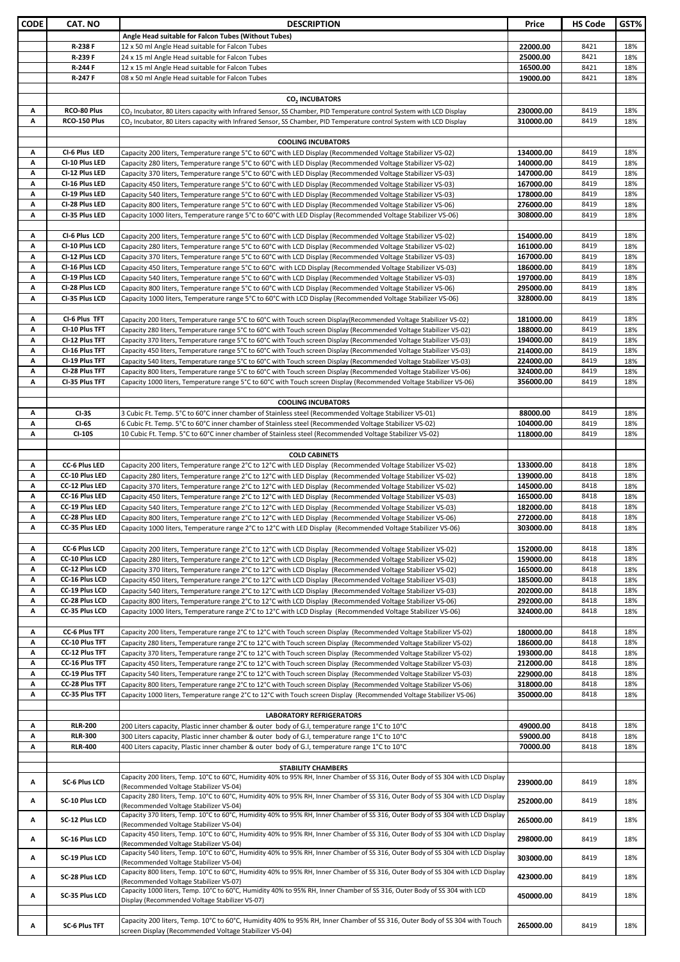| CODE | CAT. NO               | <b>DESCRIPTION</b>                                                                                                                                                        | Price     | <b>HS Code</b> | GST% |
|------|-----------------------|---------------------------------------------------------------------------------------------------------------------------------------------------------------------------|-----------|----------------|------|
|      |                       |                                                                                                                                                                           |           |                |      |
|      |                       | Angle Head suitable for Falcon Tubes (Without Tubes)                                                                                                                      |           |                |      |
|      | R-238 F               | 12 x 50 ml Angle Head suitable for Falcon Tubes                                                                                                                           | 22000.00  | 8421           | 18%  |
|      | R-239 F               | 24 x 15 ml Angle Head suitable for Falcon Tubes                                                                                                                           | 25000.00  | 8421           | 18%  |
|      | R-244 F               | 12 x 15 ml Angle Head suitable for Falcon Tubes                                                                                                                           | 16500.00  | 8421           | 18%  |
|      | R-247 F               | 08 x 50 ml Angle Head suitable for Falcon Tubes                                                                                                                           | 19000.00  | 8421           | 18%  |
|      |                       |                                                                                                                                                                           |           |                |      |
|      |                       | CO <sub>2</sub> INCUBATORS                                                                                                                                                |           |                |      |
| Α    | RCO-80 Plus           | CO <sub>2</sub> Incubator, 80 Liters capacity with Infrared Sensor, SS Chamber, PID Temperature control System with LCD Display                                           | 230000.00 | 8419           | 18%  |
| А    | RCO-150 Plus          | CO <sub>2</sub> Incubator, 80 Liters capacity with Infrared Sensor, SS Chamber, PID Temperature control System with LCD Display                                           | 310000.00 | 8419           | 18%  |
|      |                       |                                                                                                                                                                           |           |                |      |
|      |                       | <b>COOLING INCUBATORS</b>                                                                                                                                                 |           |                |      |
| Α    | CI-6 Plus LED         | Capacity 200 liters, Temperature range 5°C to 60°C with LED Display (Recommended Voltage Stabilizer VS-02)                                                                | 134000.00 | 8419           | 18%  |
| A    | CI-10 Plus LED        | Capacity 280 liters, Temperature range 5°C to 60°C with LED Display (Recommended Voltage Stabilizer VS-02)                                                                | 140000.00 | 8419           | 18%  |
| A    | CI-12 Plus LED        |                                                                                                                                                                           | 147000.00 | 8419           | 18%  |
| A    |                       | Capacity 370 liters, Temperature range 5°C to 60°C with LED Display (Recommended Voltage Stabilizer VS-03)                                                                |           |                |      |
|      | CI-16 Plus LED        | Capacity 450 liters, Temperature range 5°C to 60°C with LED Display (Recommended Voltage Stabilizer VS-03)                                                                | 167000.00 | 8419           | 18%  |
| A    | CI-19 Plus LED        | Capacity 540 liters, Temperature range 5°C to 60°C with LED Display (Recommended Voltage Stabilizer VS-03)                                                                | 178000.00 | 8419           | 18%  |
| А    | CI-28 Plus LED        | Capacity 800 liters, Temperature range 5°C to 60°C with LED Display (Recommended Voltage Stabilizer VS-06)                                                                | 276000.00 | 8419           | 18%  |
| A    | CI-35 Plus LED        | Capacity 1000 liters, Temperature range 5°C to 60°C with LED Display (Recommended Voltage Stabilizer VS-06)                                                               | 308000.00 | 8419           | 18%  |
|      |                       |                                                                                                                                                                           |           |                |      |
| Α    | CI-6 Plus LCD         | (Capacity 200 liters, Temperature range 5°C to 60°C with LCD Display (Recommended Voltage Stabilizer VS-02                                                                | 154000.00 | 8419           | 18%  |
| A    | CI-10 Plus LCD        | Capacity 280 liters, Temperature range 5°C to 60°C with LCD Display (Recommended Voltage Stabilizer VS-02)                                                                | 161000.00 | 8419           | 18%  |
| A    | CI-12 Plus LCD        | Capacity 370 liters, Temperature range 5°C to 60°C with LCD Display (Recommended Voltage Stabilizer VS-03)                                                                | 167000.00 | 8419           | 18%  |
| A    | CI-16 Plus LCD        | Capacity 450 liters, Temperature range 5°C to 60°C with LCD Display (Recommended Voltage Stabilizer VS-03)                                                                | 186000.00 | 8419           | 18%  |
| A    | CI-19 Plus LCD        | Capacity 540 liters, Temperature range 5°C to 60°C with LCD Display (Recommended Voltage Stabilizer VS-03)                                                                | 197000.00 | 8419           | 18%  |
| Α    | CI-28 Plus LCD        | Capacity 800 liters, Temperature range 5°C to 60°C with LCD Display (Recommended Voltage Stabilizer VS-06)                                                                | 295000.00 | 8419           | 18%  |
| Α    | CI-35 Plus LCD        | Capacity 1000 liters, Temperature range 5°C to 60°C with LCD Display (Recommended Voltage Stabilizer VS-06)                                                               | 328000.00 | 8419           | 18%  |
|      |                       |                                                                                                                                                                           |           |                |      |
|      | CI-6 Plus TFT         |                                                                                                                                                                           |           | 8419           | 18%  |
| Α    |                       | Capacity 200 liters, Temperature range 5°C to 60°C with Touch screen Display(Recommended Voltage Stabilizer VS-02)                                                        | 181000.00 |                |      |
| А    | CI-10 Plus TFT        | Capacity 280 liters, Temperature range 5°C to 60°C with Touch screen Display (Recommended Voltage Stabilizer VS-02)                                                       | 188000.00 | 8419           | 18%  |
| Α    | CI-12 Plus TFT        | Capacity 370 liters, Temperature range 5°C to 60°C with Touch screen Display (Recommended Voltage Stabilizer VS-03)                                                       | 194000.00 | 8419           | 18%  |
| A    | CI-16 Plus TFT        | Capacity 450 liters, Temperature range 5°C to 60°C with Touch screen Display (Recommended Voltage Stabilizer VS-03)                                                       | 214000.00 | 8419           | 18%  |
| A    | CI-19 Plus TFT        | Capacity 540 liters, Temperature range 5°C to 60°C with Touch screen Display (Recommended Voltage Stabilizer VS-03)                                                       | 224000.00 | 8419           | 18%  |
| Α    | CI-28 Plus TFT        | Capacity 800 liters, Temperature range 5°C to 60°C with Touch screen Display (Recommended Voltage Stabilizer VS-06)                                                       | 324000.00 | 8419           | 18%  |
| А    | CI-35 Plus TFT        | Capacity 1000 liters, Temperature range 5°C to 60°C with Touch screen Display (Recommended Voltage Stabilizer VS-06)                                                      | 356000.00 | 8419           | 18%  |
|      |                       |                                                                                                                                                                           |           |                |      |
|      |                       | <b>COOLING INCUBATORS</b>                                                                                                                                                 |           |                |      |
| Α    | $CI-3S$               | 3 Cubic Ft. Temp. 5°C to 60°C inner chamber of Stainless steel (Recommended Voltage Stabilizer VS-01)                                                                     | 88000.00  | 8419           | 18%  |
| Α    | CI-6S                 | 6 Cubic Ft. Temp. 5°C to 60°C inner chamber of Stainless steel (Recommended Voltage Stabilizer VS-02)                                                                     | 104000.00 | 8419           | 18%  |
| Α    | <b>CI-10S</b>         |                                                                                                                                                                           |           | 8419           | 18%  |
|      |                       | 10 Cubic Ft. Temp. 5°C to 60°C inner chamber of Stainless steel (Recommended Voltage Stabilizer VS-02)                                                                    | 118000.00 |                |      |
|      |                       |                                                                                                                                                                           |           |                |      |
|      |                       | <b>COLD CABINETS</b>                                                                                                                                                      |           |                |      |
| Α    | CC-6 Plus LED         | Capacity 200 liters, Temperature range 2°C to 12°C with LED Display (Recommended Voltage Stabilizer VS-02)                                                                | 133000.00 | 8418           | 18%  |
| A    | CC-10 Plus LED        | Capacity 280 liters, Temperature range 2°C to 12°C with LED Display (Recommended Voltage Stabilizer VS-02)                                                                | 139000.00 | 8418           | 18%  |
| A    | CC-12 Plus LED        | Capacity 370 liters, Temperature range 2°C to 12°C with LED Display (Recommended Voltage Stabilizer VS-02)                                                                | 145000.00 | 8418           | 18%  |
| A    | CC-16 Plus LED        | Capacity 450 liters, Temperature range 2°C to 12°C with LED Display (Recommended Voltage Stabilizer VS-03)                                                                | 165000.00 | 8418           | 18%  |
| A    | CC-19 Plus LED        | Capacity 540 liters, Temperature range 2°C to 12°C with LED Display (Recommended Voltage Stabilizer VS-03)                                                                | 182000.00 | 8418           | 18%  |
| Α    | CC-28 Plus LED        | Capacity 800 liters, Temperature range 2°C to 12°C with LED Display (Recommended Voltage Stabilizer VS-06)                                                                | 272000.00 | 8418           | 18%  |
| A    | CC-35 Plus LED        | Capacity 1000 liters, Temperature range 2°C to 12°C with LED Display (Recommended Voltage Stabilizer VS-06)                                                               | 303000.00 | 8418           | 18%  |
|      |                       |                                                                                                                                                                           |           |                |      |
| A    | CC-6 Plus LCD         | Capacity 200 liters, Temperature range 2°C to 12°C with LCD Display (Recommended Voltage Stabilizer VS-02)                                                                | 152000.00 | 8418           | 18%  |
| Α    | CC-10 Plus LCD        | Capacity 280 liters, Temperature range 2°C to 12°C with LCD Display (Recommended Voltage Stabilizer VS-02)                                                                | 159000.00 | 8418           | 18%  |
|      |                       |                                                                                                                                                                           |           |                | 18%  |
| Α    | CC-12 Plus LCD        | Capacity 370 liters, Temperature range 2°C to 12°C with LCD Display (Recommended Voltage Stabilizer VS-02)                                                                | 165000.00 | 8418           |      |
| А    | CC-16 Plus LCD        | Capacity 450 liters, Temperature range 2°C to 12°C with LCD Display (Recommended Voltage Stabilizer VS-03)                                                                | 185000.00 | 8418           | 18%  |
| Α    | CC-19 Plus LCD        | Capacity 540 liters, Temperature range 2°C to 12°C with LCD Display (Recommended Voltage Stabilizer VS-03)                                                                | 202000.00 | 8418           | 18%  |
| Α    | CC-28 Plus LCD        | Capacity 800 liters, Temperature range 2°C to 12°C with LCD Display (Recommended Voltage Stabilizer VS-06)                                                                | 292000.00 | 8418           | 18%  |
| Α    | CC-35 Plus LCD        | Capacity 1000 liters, Temperature range 2°C to 12°C with LCD Display (Recommended Voltage Stabilizer VS-06)                                                               | 324000.00 | 8418           | 18%  |
|      |                       |                                                                                                                                                                           |           |                |      |
| А    | CC-6 Plus TFT         | Capacity 200 liters, Temperature range 2°C to 12°C with Touch screen Display (Recommended Voltage Stabilizer VS-02)                                                       | 180000.00 | 8418           | 18%  |
| Α    | <b>CC-10 Plus TFT</b> | Capacity 280 liters, Temperature range 2°C to 12°C with Touch screen Display (Recommended Voltage Stabilizer VS-02)                                                       | 186000.00 | 8418           | 18%  |
| Α    | CC-12 Plus TFT        | Capacity 370 liters, Temperature range 2°C to 12°C with Touch screen Display (Recommended Voltage Stabilizer VS-02)                                                       | 193000.00 | 8418           | 18%  |
| Α    | CC-16 Plus TFT        | Capacity 450 liters, Temperature range 2°C to 12°C with Touch screen Display (Recommended Voltage Stabilizer VS-03)                                                       | 212000.00 | 8418           | 18%  |
| Α    | CC-19 Plus TFT        | Capacity 540 liters, Temperature range 2°C to 12°C with Touch screen Display (Recommended Voltage Stabilizer VS-03)                                                       | 229000.00 | 8418           | 18%  |
| Α    | <b>CC-28 Plus TFT</b> | Capacity 800 liters, Temperature range 2°C to 12°C with Touch screen Display (Recommended Voltage Stabilizer VS-06)                                                       | 318000.00 | 8418           | 18%  |
| Α    | CC-35 Plus TFT        | Capacity 1000 liters, Temperature range 2°C to 12°C with Touch screen Display (Recommended Voltage Stabilizer VS-06)                                                      | 350000.00 | 8418           | 18%  |
|      |                       |                                                                                                                                                                           |           |                |      |
|      |                       | <b>LABORATORY REFRIGERATORS</b>                                                                                                                                           |           |                |      |
| Α    | <b>RLR-200</b>        | 200 Liters capacity, Plastic inner chamber & outer body of G.I, temperature range 1°C to 10°C                                                                             | 49000.00  | 8418           | 18%  |
| Α    | <b>RLR-300</b>        | 300 Liters capacity, Plastic inner chamber & outer body of G.I, temperature range 1°C to 10°C                                                                             | 59000.00  | 8418           | 18%  |
| Α    | <b>RLR-400</b>        | 400 Liters capacity, Plastic inner chamber & outer body of G.I, temperature range 1°C to 10°C                                                                             | 70000.00  | 8418           |      |
|      |                       |                                                                                                                                                                           |           |                | 18%  |
|      |                       |                                                                                                                                                                           |           |                |      |
|      |                       | <b>STABILITY CHAMBERS</b>                                                                                                                                                 |           |                |      |
| А    | SC-6 Plus LCD         | Capacity 200 liters, Temp. 10°C to 60°C, Humidity 40% to 95% RH, Inner Chamber of SS 316, Outer Body of SS 304 with LCD Display                                           | 239000.00 | 8419           | 18%  |
|      |                       | (Recommended Voltage Stabilizer VS-04)<br>Capacity 280 liters, Temp. 10°C to 60°C, Humidity 40% to 95% RH, Inner Chamber of SS 316, Outer Body of SS 304 with LCD Display |           |                |      |
| Α    | SC-10 Plus LCD        | (Recommended Voltage Stabilizer VS-04)                                                                                                                                    | 252000.00 | 8419           | 18%  |
|      |                       | Capacity 370 liters, Temp. 10°C to 60°C, Humidity 40% to 95% RH, Inner Chamber of SS 316, Outer Body of SS 304 with LCD Display                                           |           |                |      |
| А    | SC-12 Plus LCD        | (Recommended Voltage Stabilizer VS-04)                                                                                                                                    | 265000.00 | 8419           | 18%  |
|      |                       | Capacity 450 liters, Temp. 10°C to 60°C, Humidity 40% to 95% RH, Inner Chamber of SS 316, Outer Body of SS 304 with LCD Display                                           |           |                |      |
| Α    | SC-16 Plus LCD        | (Recommended Voltage Stabilizer VS-04)                                                                                                                                    | 298000.00 | 8419           | 18%  |
|      |                       | Capacity 540 liters, Temp. 10°C to 60°C, Humidity 40% to 95% RH, Inner Chamber of SS 316, Outer Body of SS 304 with LCD Display                                           |           |                |      |
| Α    | SC-19 Plus LCD        | (Recommended Voltage Stabilizer VS-04)                                                                                                                                    | 303000.00 | 8419           | 18%  |
|      |                       | Capacity 800 liters, Temp. 10°C to 60°C, Humidity 40% to 95% RH, Inner Chamber of SS 316, Outer Body of SS 304 with LCD Display                                           |           |                |      |
| А    | SC-28 Plus LCD        | (Recommended Voltage Stabilizer VS-07)                                                                                                                                    | 423000.00 | 8419           | 18%  |
|      |                       | Capacity 1000 liters, Temp. 10°C to 60°C, Humidity 40% to 95% RH, Inner Chamber of SS 316, Outer Body of SS 304 with LCD                                                  |           |                |      |
| Α    | SC-35 Plus LCD        | Display (Recommended Voltage Stabilizer VS-07)                                                                                                                            | 450000.00 | 8419           | 18%  |
|      |                       |                                                                                                                                                                           |           |                |      |
|      |                       | Capacity 200 liters, Temp. 10°C to 60°C, Humidity 40% to 95% RH, Inner Chamber of SS 316, Outer Body of SS 304 with Touch                                                 |           | 8419           |      |
| А    | SC-6 Plus TFT         | screen Display (Recommended Voltage Stabilizer VS-04)                                                                                                                     | 265000.00 |                | 18%  |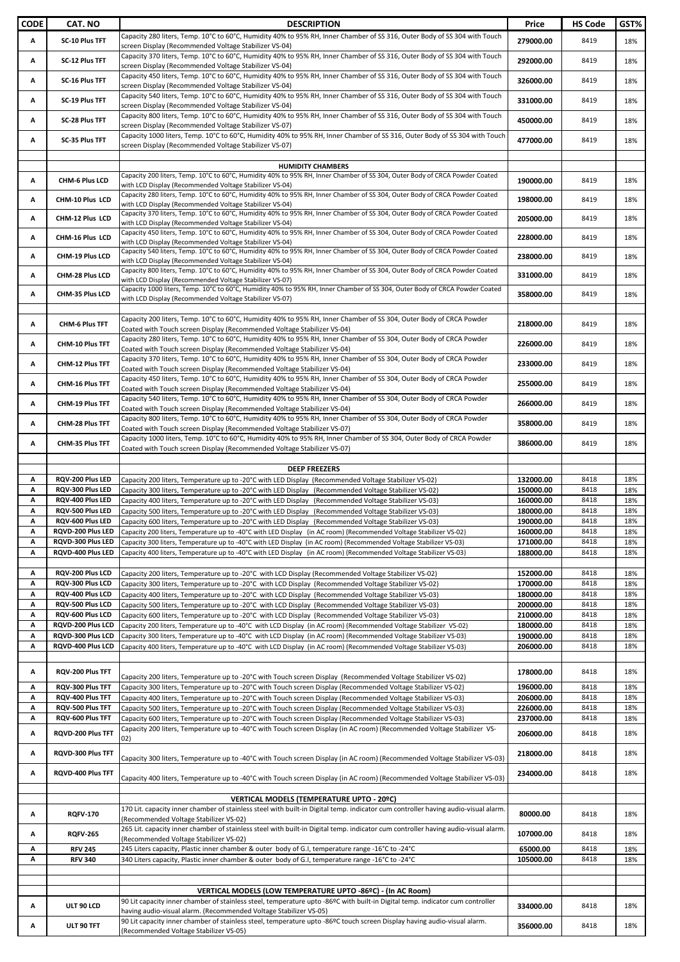| <b>CODE</b> | <b>CAT. NO</b>                         | <b>DESCRIPTION</b>                                                                                                                                                                                                                     | Price                  | <b>HS Code</b> | GST%       |
|-------------|----------------------------------------|----------------------------------------------------------------------------------------------------------------------------------------------------------------------------------------------------------------------------------------|------------------------|----------------|------------|
| Α           | SC-10 Plus TFT                         | Capacity 280 liters, Temp. 10°C to 60°C, Humidity 40% to 95% RH, Inner Chamber of SS 316, Outer Body of SS 304 with Touch                                                                                                              | 279000.00              | 8419           | 18%        |
|             |                                        | screen Display (Recommended Voltage Stabilizer VS-04)<br>Capacity 370 liters, Temp. 10°C to 60°C, Humidity 40% to 95% RH, Inner Chamber of SS 316, Outer Body of SS 304 with Touch                                                     |                        |                |            |
| Α           | SC-12 Plus TFT                         | screen Display (Recommended Voltage Stabilizer VS-04)                                                                                                                                                                                  | 292000.00              | 8419           | 18%        |
| Α           | SC-16 Plus TFT                         | Capacity 450 liters, Temp. 10°C to 60°C, Humidity 40% to 95% RH, Inner Chamber of SS 316, Outer Body of SS 304 with Touch                                                                                                              | 326000.00              | 8419           | 18%        |
|             |                                        | screen Display (Recommended Voltage Stabilizer VS-04)<br>Capacity 540 liters, Temp. 10°C to 60°C, Humidity 40% to 95% RH, Inner Chamber of SS 316, Outer Body of SS 304 with Touch                                                     |                        |                |            |
| Α           | SC-19 Plus TFT                         | screen Display (Recommended Voltage Stabilizer VS-04)                                                                                                                                                                                  | 331000.00              | 8419           | 18%        |
| Α           | SC-28 Plus TFT                         | Capacity 800 liters, Temp. 10°C to 60°C, Humidity 40% to 95% RH, Inner Chamber of SS 316, Outer Body of SS 304 with Touch                                                                                                              | 450000.00              | 8419           | 18%        |
|             |                                        | screen Display (Recommended Voltage Stabilizer VS-07)<br>Capacity 1000 liters, Temp. 10°C to 60°C, Humidity 40% to 95% RH, Inner Chamber of SS 316, Outer Body of SS 304 with Touch                                                    |                        |                |            |
| Α           | SC-35 Plus TFT                         | screen Display (Recommended Voltage Stabilizer VS-07)                                                                                                                                                                                  | 477000.00              | 8419           | 18%        |
|             |                                        |                                                                                                                                                                                                                                        |                        |                |            |
|             |                                        | <b>HUMIDITY CHAMBERS</b><br>Capacity 200 liters, Temp. 10°C to 60°C, Humidity 40% to 95% RH, Inner Chamber of SS 304, Outer Body of CRCA Powder Coated                                                                                 |                        |                |            |
| Α           | CHM-6 Plus LCD                         | with LCD Display (Recommended Voltage Stabilizer VS-04)                                                                                                                                                                                | 190000.00              | 8419           | 18%        |
| Α           | CHM-10 Plus LCD                        | Capacity 280 liters, Temp. 10°C to 60°C, Humidity 40% to 95% RH, Inner Chamber of SS 304, Outer Body of CRCA Powder Coated                                                                                                             | 198000.00              | 8419           | 18%        |
|             |                                        | with LCD Display (Recommended Voltage Stabilizer VS-04)<br>Capacity 370 liters, Temp. 10°C to 60°C, Humidity 40% to 95% RH, Inner Chamber of SS 304, Outer Body of CRCA Powder Coated                                                  |                        |                |            |
| Α           | CHM-12 Plus LCD                        | with LCD Display (Recommended Voltage Stabilizer VS-04)                                                                                                                                                                                | 205000.00              | 8419           | 18%        |
| Α           | CHM-16 Plus LCD                        | Capacity 450 liters, Temp. 10°C to 60°C, Humidity 40% to 95% RH, Inner Chamber of SS 304, Outer Body of CRCA Powder Coated<br>with LCD Display (Recommended Voltage Stabilizer VS-04)                                                  | 228000.00              | 8419           | 18%        |
| Α           | CHM-19 Plus LCD                        | Capacity 540 liters, Temp. 10°C to 60°C, Humidity 40% to 95% RH, Inner Chamber of SS 304, Outer Body of CRCA Powder Coated                                                                                                             | 238000.00              | 8419           | 18%        |
|             |                                        | with LCD Display (Recommended Voltage Stabilizer VS-04)<br>Capacity 800 liters, Temp. 10°C to 60°C, Humidity 40% to 95% RH, Inner Chamber of SS 304, Outer Body of CRCA Powder Coated                                                  |                        |                |            |
| Α           | CHM-28 Plus LCD                        | with LCD Display (Recommended Voltage Stabilizer VS-07)                                                                                                                                                                                | 331000.00              | 8419           | 18%        |
| Α           | CHM-35 Plus LCD                        | Capacity 1000 liters, Temp. 10°C to 60°C, Humidity 40% to 95% RH, Inner Chamber of SS 304, Outer Body of CRCA Powder Coated<br>with LCD Display (Recommended Voltage Stabilizer VS-07)                                                 | 358000.00              | 8419           | 18%        |
|             |                                        |                                                                                                                                                                                                                                        |                        |                |            |
| Α           | CHM-6 Plus TFT                         | Capacity 200 liters, Temp. 10°C to 60°C, Humidity 40% to 95% RH, Inner Chamber of SS 304, Outer Body of CRCA Powder                                                                                                                    | 218000.00              | 8419           | 18%        |
|             |                                        | Coated with Touch screen Display (Recommended Voltage Stabilizer VS-04)<br>Capacity 280 liters, Temp. 10°C to 60°C, Humidity 40% to 95% RH, Inner Chamber of SS 304, Outer Body of CRCA Powder                                         |                        |                |            |
| Α           | CHM-10 Plus TFT                        | Coated with Touch screen Display (Recommended Voltage Stabilizer VS-04)                                                                                                                                                                | 226000.00              | 8419           | 18%        |
| Α           | CHM-12 Plus TFT                        | Capacity 370 liters, Temp. 10°C to 60°C, Humidity 40% to 95% RH, Inner Chamber of SS 304, Outer Body of CRCA Powder                                                                                                                    | 233000.00              | 8419           | 18%        |
|             |                                        | Coated with Touch screen Display (Recommended Voltage Stabilizer VS-04)<br>Capacity 450 liters, Temp. 10°C to 60°C, Humidity 40% to 95% RH, Inner Chamber of SS 304, Outer Body of CRCA Powder                                         |                        |                |            |
| Α           | CHM-16 Plus TFT                        | Coated with Touch screen Display (Recommended Voltage Stabilizer VS-04)                                                                                                                                                                | 255000.00              | 8419           | 18%        |
| Α           | CHM-19 Plus TFT                        | Capacity 540 liters, Temp. 10°C to 60°C, Humidity 40% to 95% RH, Inner Chamber of SS 304, Outer Body of CRCA Powder                                                                                                                    | 266000.00              | 8419           | 18%        |
|             |                                        | Coated with Touch screen Display (Recommended Voltage Stabilizer VS-04)<br>Capacity 800 liters, Temp. 10°C to 60°C, Humidity 40% to 95% RH, Inner Chamber of SS 304, Outer Body of CRCA Powder                                         |                        |                |            |
| Α           | CHM-28 Plus TFT                        | Coated with Touch screen Display (Recommended Voltage Stabilizer VS-07)                                                                                                                                                                | 358000.00              | 8419           | 18%        |
| Α           | CHM-35 Plus TFT                        | Capacity 1000 liters, Temp. 10°C to 60°C, Humidity 40% to 95% RH, Inner Chamber of SS 304, Outer Body of CRCA Powder<br>Coated with Touch screen Display (Recommended Voltage Stabilizer VS-07)                                        | 386000.00              | 8419           | 18%        |
|             |                                        |                                                                                                                                                                                                                                        |                        |                |            |
|             |                                        | <b>DEEP FREEZERS</b>                                                                                                                                                                                                                   |                        |                |            |
| Α<br>Α      | RQV-200 Plus LED<br>RQV-300 Plus LED   | Capacity 200 liters, Temperature up to -20°C with LED Display (Recommended Voltage Stabilizer VS-02)<br>Capacity 300 liters, Temperature up to -20°C with LED Display (Recommended Voltage Stabilizer VS-02)                           | 132000.00<br>150000.00 | 8418<br>8418   | 18%<br>18% |
| Α           | RQV-400 Plus LED                       | (Capacity 400 liters, Temperature up to -20°C with LED Display (Recommended Voltage Stabilizer VS-03                                                                                                                                   | 160000.00              | 8418           | 18%        |
| Α           | RQV-500 Plus LED                       | Capacity 500 liters, Temperature up to -20°C with LED Display (Recommended Voltage Stabilizer VS-03)                                                                                                                                   | 180000.00              | 8418           | 18%        |
| А           | RQV-600 Plus LED                       | Capacity 600 liters, Temperature up to -20°C with LED Display (Recommended Voltage Stabilizer VS-03)                                                                                                                                   | 190000.00              | 8418           | 18%        |
| Α<br>Α      | RQVD-200 Plus LED<br>RQVD-300 Plus LED | Capacity 200 liters, Temperature up to -40°C with LED Display (in AC room) (Recommended Voltage Stabilizer VS-02)<br>Capacity 300 liters, Temperature up to -40°C with LED Display (in AC room) (Recommended Voltage Stabilizer VS-03) | 160000.00<br>171000.00 | 8418<br>8418   | 18%<br>18% |
| Α           | RQVD-400 Plus LED                      | Capacity 400 liters, Temperature up to -40°C with LED Display (in AC room) (Recommended Voltage Stabilizer VS-03)                                                                                                                      | 188000.00              | 8418           | 18%        |
|             |                                        |                                                                                                                                                                                                                                        |                        |                |            |
| Α<br>Α      | RQV-200 Plus LCD<br>RQV-300 Plus LCD   | Capacity 200 liters, Temperature up to -20°C with LCD Display (Recommended Voltage Stabilizer VS-02)<br>Capacity 300 liters, Temperature up to -20°C with LCD Display (Recommended Voltage Stabilizer VS-02)                           | 152000.00<br>170000.00 | 8418<br>8418   | 18%<br>18% |
| А           | RQV-400 Plus LCD                       | Capacity 400 liters, Temperature up to -20°C with LCD Display (Recommended Voltage Stabilizer VS-03)                                                                                                                                   | 180000.00              | 8418           | 18%        |
| Α           | RQV-500 Plus LCD                       | Capacity 500 liters, Temperature up to -20°C with LCD Display (Recommended Voltage Stabilizer VS-03)                                                                                                                                   | 200000.00              | 8418           | 18%        |
| А           | ROV-600 Plus LCD                       | Capacity 600 liters, Temperature up to -20°C with LCD Display (Recommended Voltage Stabilizer VS-03)                                                                                                                                   | 210000.00              | 8418           | 18%        |
| Α<br>А      | RQVD-200 Plus LCD<br>RQVD-300 Plus LCD | Capacity 200 liters, Temperature up to -40°C with LCD Display (in AC room) (Recommended Voltage Stabilizer VS-02)<br>Capacity 300 liters, Temperature up to -40°C with LCD Display (in AC room) (Recommended Voltage Stabilizer VS-03) | 180000.00<br>190000.00 | 8418<br>8418   | 18%<br>18% |
| Α           | RQVD-400 Plus LCD                      | Capacity 400 liters, Temperature up to -40°C with LCD Display (in AC room) (Recommended Voltage Stabilizer VS-03)                                                                                                                      | 206000.00              | 8418           | 18%        |
|             |                                        |                                                                                                                                                                                                                                        |                        |                |            |
| Α           | RQV-200 Plus TFT                       | Capacity 200 liters, Temperature up to -20°C with Touch screen Display (Recommended Voltage Stabilizer VS-02)                                                                                                                          | 178000.00              | 8418           | 18%        |
| Α           | RQV-300 Plus TFT                       | Capacity 300 liters, Temperature up to -20°C with Touch screen Display (Recommended Voltage Stabilizer VS-02)                                                                                                                          | 196000.00              | 8418           | 18%        |
| А           | RQV-400 Plus TFT                       | Capacity 400 liters, Temperature up to -20°C with Touch screen Display (Recommended Voltage Stabilizer VS-03)                                                                                                                          | 206000.00              | 8418           | 18%        |
| Α<br>Α      | RQV-500 Plus TFT<br>RQV-600 Plus TFT   | Capacity 500 liters, Temperature up to -20°C with Touch screen Display (Recommended Voltage Stabilizer VS-03)<br>Capacity 600 liters, Temperature up to -20°C with Touch screen Display (Recommended Voltage Stabilizer VS-03)         | 226000.00<br>237000.00 | 8418<br>8418   | 18%<br>18% |
| Α           | RQVD-200 Plus TFT                      | Capacity 200 liters, Temperature up to -40°C with Touch screen Display (in AC room) (Recommended Voltage Stabilizer VS-                                                                                                                |                        | 8418           | 18%        |
|             |                                        | 02)                                                                                                                                                                                                                                    | 206000.00              |                |            |
| Α           | RQVD-300 Plus TFT                      | Capacity 300 liters, Temperature up to -40°C with Touch screen Display (in AC room) (Recommended Voltage Stabilizer VS-03)                                                                                                             | 218000.00              | 8418           | 18%        |
| Α           | RQVD-400 Plus TFT                      |                                                                                                                                                                                                                                        | 234000.00              | 8418           | 18%        |
|             |                                        | Capacity 400 liters, Temperature up to -40°C with Touch screen Display (in AC room) (Recommended Voltage Stabilizer VS-03)                                                                                                             |                        |                |            |
|             |                                        | VERTICAL MODELS (TEMPERATURE UPTO - 20ºC)                                                                                                                                                                                              |                        |                |            |
| А           | <b>RQFV-170</b>                        | 170 Lit. capacity inner chamber of stainless steel with built-in Digital temp. indicator cum controller having audio-visual alarm.                                                                                                     | 80000.00               | 8418           | 18%        |
|             |                                        | (Recommended Voltage Stabilizer VS-02)<br>265 Lit. capacity inner chamber of stainless steel with built-in Digital temp. indicator cum controller having audio-visual alarm.                                                           |                        |                |            |
| Α           | <b>RQFV-265</b>                        | (Recommended Voltage Stabilizer VS-02)                                                                                                                                                                                                 | 107000.00              | 8418           | 18%        |
| Α<br>Α      | <b>RFV 245</b><br><b>RFV 340</b>       | 245 Liters capacity, Plastic inner chamber & outer body of G.I, temperature range -16°C to -24°C<br>340 Liters capacity, Plastic inner chamber & outer body of G.I, temperature range -16°C to -24°C                                   | 65000.00               | 8418<br>8418   | 18%        |
|             |                                        |                                                                                                                                                                                                                                        | 105000.00              |                | 18%        |
|             |                                        |                                                                                                                                                                                                                                        |                        |                |            |
|             |                                        | VERTICAL MODELS (LOW TEMPERATURE UPTO -86ºC) - (In AC Room)<br>90 Lit capacity inner chamber of stainless steel, temperature upto -86ºC with built-in Digital temp. indicator cum controller                                           |                        |                |            |
| Α           | ULT 90 LCD                             | having audio-visual alarm. (Recommended Voltage Stabilizer VS-05)                                                                                                                                                                      | 334000.00              | 8418           | 18%        |
| А           | ULT 90 TFT                             | 90 Lit capacity inner chamber of stainless steel, temperature upto -86ºC touch screen Display having audio-visual alarm.                                                                                                               | 356000.00              | 8418           | 18%        |
|             |                                        | (Recommended Voltage Stabilizer VS-05)                                                                                                                                                                                                 |                        |                |            |